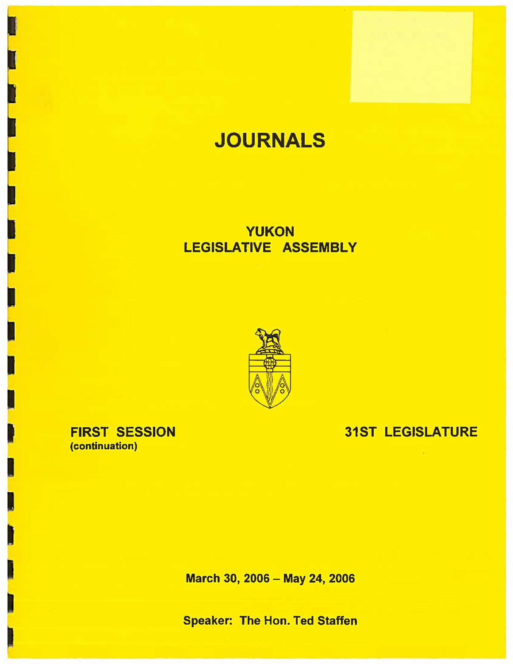# **JOURNALS**

## **YUKON**  LEGISLATIVE **ASSEMBLY**



### FIRST SESSION (continuation)

### 31ST LEGISLATURE

March 30, 2006 - May 24, 2006

Speaker: The Hon. Ted Staffen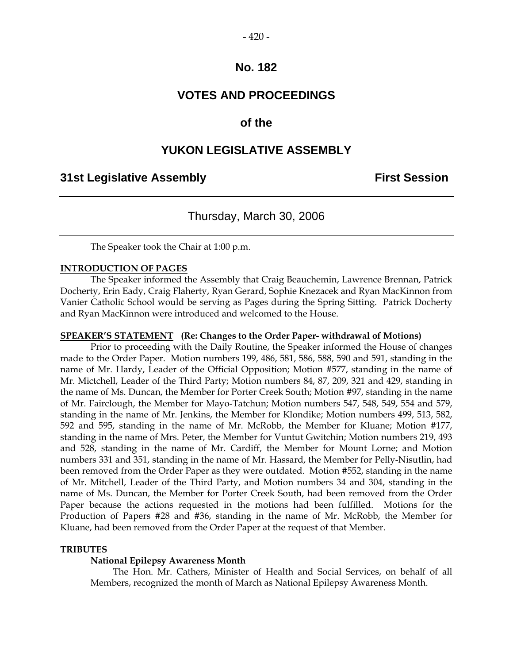### **VOTES AND PROCEEDINGS**

### **of the**

### **YUKON LEGISLATIVE ASSEMBLY**

### **31st Legislative Assembly First Session**

### Thursday, March 30, 2006

The Speaker took the Chair at 1:00 p.m.

#### **INTRODUCTION OF PAGES**

 The Speaker informed the Assembly that Craig Beauchemin, Lawrence Brennan, Patrick Docherty, Erin Eady, Craig Flaherty, Ryan Gerard, Sophie Knezacek and Ryan MacKinnon from Vanier Catholic School would be serving as Pages during the Spring Sitting. Patrick Docherty and Ryan MacKinnon were introduced and welcomed to the House.

#### **SPEAKER'S STATEMENT (Re: Changes to the Order Paper- withdrawal of Motions)**

 Prior to proceeding with the Daily Routine, the Speaker informed the House of changes made to the Order Paper. Motion numbers 199, 486, 581, 586, 588, 590 and 591, standing in the name of Mr. Hardy, Leader of the Official Opposition; Motion #577, standing in the name of Mr. Mictchell, Leader of the Third Party; Motion numbers 84, 87, 209, 321 and 429, standing in the name of Ms. Duncan, the Member for Porter Creek South; Motion #97, standing in the name of Mr. Fairclough, the Member for Mayo-Tatchun; Motion numbers 547, 548, 549, 554 and 579, standing in the name of Mr. Jenkins, the Member for Klondike; Motion numbers 499, 513, 582, 592 and 595, standing in the name of Mr. McRobb, the Member for Kluane; Motion #177, standing in the name of Mrs. Peter, the Member for Vuntut Gwitchin; Motion numbers 219, 493 and 528, standing in the name of Mr. Cardiff, the Member for Mount Lorne; and Motion numbers 331 and 351, standing in the name of Mr. Hassard, the Member for Pelly-Nisutlin, had been removed from the Order Paper as they were outdated. Motion #552, standing in the name of Mr. Mitchell, Leader of the Third Party, and Motion numbers 34 and 304, standing in the name of Ms. Duncan, the Member for Porter Creek South, had been removed from the Order Paper because the actions requested in the motions had been fulfilled. Motions for the Production of Papers #28 and #36, standing in the name of Mr. McRobb, the Member for Kluane, had been removed from the Order Paper at the request of that Member.

#### **TRIBUTES**

#### **National Epilepsy Awareness Month**

 The Hon. Mr. Cathers, Minister of Health and Social Services, on behalf of all Members, recognized the month of March as National Epilepsy Awareness Month.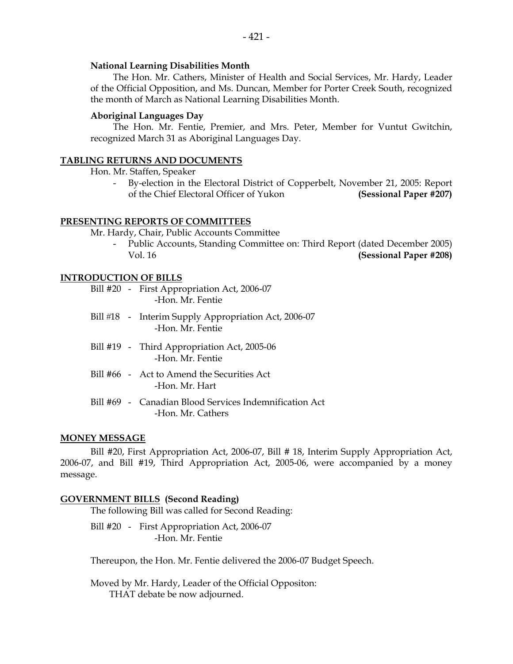#### **National Learning Disabilities Month**

 The Hon. Mr. Cathers, Minister of Health and Social Services, Mr. Hardy, Leader of the Official Opposition, and Ms. Duncan, Member for Porter Creek South, recognized the month of March as National Learning Disabilities Month.

#### **Aboriginal Languages Day**

 The Hon. Mr. Fentie, Premier, and Mrs. Peter, Member for Vuntut Gwitchin, recognized March 31 as Aboriginal Languages Day.

#### **TABLING RETURNS AND DOCUMENTS**

Hon. Mr. Staffen, Speaker

By-election in the Electoral District of Copperbelt, November 21, 2005: Report of the Chief Electoral Officer of Yukon **(Sessional Paper #207)** 

#### **PRESENTING REPORTS OF COMMITTEES**

Mr. Hardy, Chair, Public Accounts Committee

 - Public Accounts, Standing Committee on: Third Report (dated December 2005) Vol. 16 **(Sessional Paper #208)**

#### **INTRODUCTION OF BILLS**

- Bill #20 First Appropriation Act, 2006-07 -Hon. Mr. Fentie
- Bill #18 Interim Supply Appropriation Act, 2006-07 -Hon. Mr. Fentie
- Bill #19 Third Appropriation Act, 2005-06 -Hon. Mr. Fentie
- Bill #66 Act to Amend the Securities Act -Hon. Mr. Hart
- Bill #69 Canadian Blood Services Indemnification Act -Hon. Mr. Cathers

#### **MONEY MESSAGE**

 Bill #20, First Appropriation Act, 2006-07, Bill # 18, Interim Supply Appropriation Act, 2006-07, and Bill #19, Third Appropriation Act, 2005-06, were accompanied by a money message.

#### **GOVERNMENT BILLS (Second Reading)**

The following Bill was called for Second Reading:

Bill #20 - First Appropriation Act, 2006-07 -Hon. Mr. Fentie

Thereupon, the Hon. Mr. Fentie delivered the 2006-07 Budget Speech.

 Moved by Mr. Hardy, Leader of the Official Oppositon: THAT debate be now adjourned.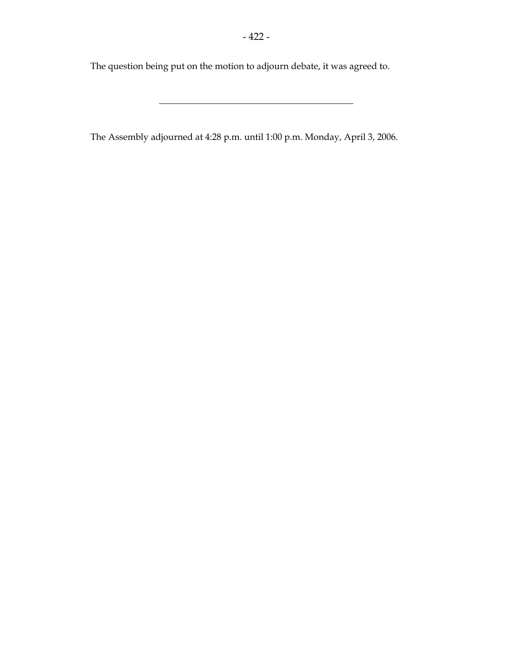The question being put on the motion to adjourn debate, it was agreed to.

The Assembly adjourned at 4:28 p.m. until 1:00 p.m. Monday, April 3, 2006.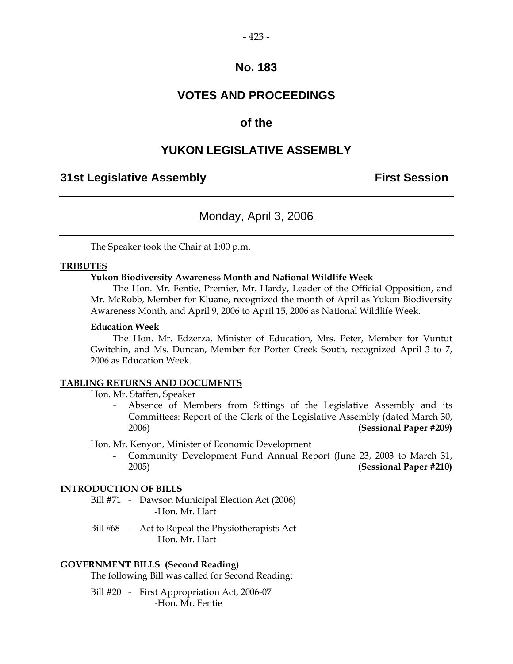### **VOTES AND PROCEEDINGS**

### **of the**

### **YUKON LEGISLATIVE ASSEMBLY**

### **31st Legislative Assembly First Session**

### Monday, April 3, 2006

The Speaker took the Chair at 1:00 p.m.

#### **TRIBUTES**

#### **Yukon Biodiversity Awareness Month and National Wildlife Week**

 The Hon. Mr. Fentie, Premier, Mr. Hardy, Leader of the Official Opposition, and Mr. McRobb, Member for Kluane, recognized the month of April as Yukon Biodiversity Awareness Month, and April 9, 2006 to April 15, 2006 as National Wildlife Week.

#### **Education Week**

 The Hon. Mr. Edzerza, Minister of Education, Mrs. Peter, Member for Vuntut Gwitchin, and Ms. Duncan, Member for Porter Creek South, recognized April 3 to 7, 2006 as Education Week.

#### **TABLING RETURNS AND DOCUMENTS**

Hon. Mr. Staffen, Speaker

Absence of Members from Sittings of the Legislative Assembly and its Committees: Report of the Clerk of the Legislative Assembly (dated March 30, 2006) **(Sessional Paper #209)** 

Hon. Mr. Kenyon, Minister of Economic Development

 - Community Development Fund Annual Report (June 23, 2003 to March 31, 2005) **(Sessional Paper #210)** 

#### **INTRODUCTION OF BILLS**

- Bill #71 Dawson Municipal Election Act (2006) -Hon. Mr. Hart
- Bill #68 Act to Repeal the Physiotherapists Act -Hon. Mr. Hart

#### **GOVERNMENT BILLS (Second Reading)**

The following Bill was called for Second Reading:

 Bill #20 - First Appropriation Act, 2006-07 -Hon. Mr. Fentie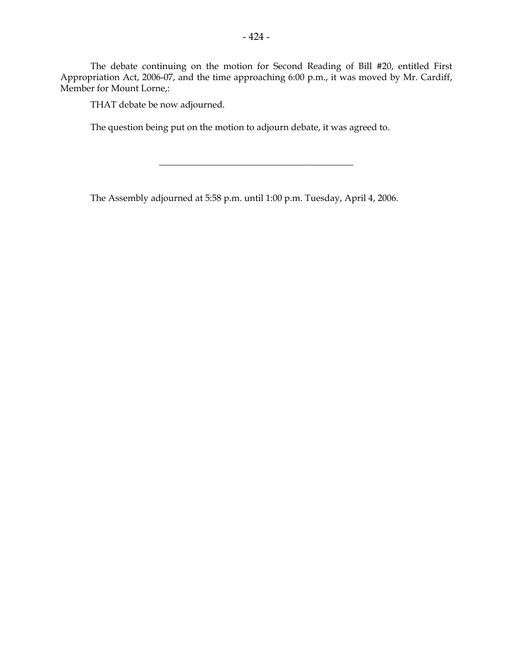The debate continuing on the motion for Second Reading of Bill #20, entitled First Appropriation Act, 2006-07, and the time approaching 6:00 p.m., it was moved by Mr. Cardiff, Member for Mount Lorne,:

\_\_\_\_\_\_\_\_\_\_\_\_\_\_\_\_\_\_\_\_\_\_\_\_\_\_\_\_\_\_\_\_\_\_\_\_\_\_\_\_\_\_

THAT debate be now adjourned.

The question being put on the motion to adjourn debate, it was agreed to.

The Assembly adjourned at 5:58 p.m. until 1:00 p.m. Tuesday, April 4, 2006.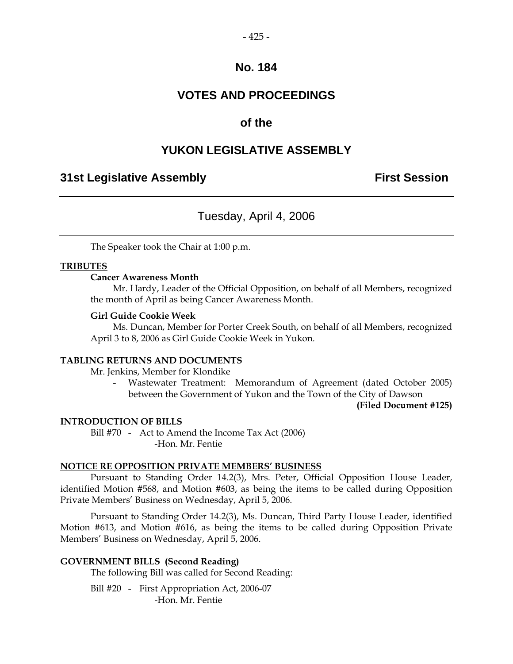### **VOTES AND PROCEEDINGS**

### **of the**

### **YUKON LEGISLATIVE ASSEMBLY**

### **31st Legislative Assembly First Session**

### Tuesday, April 4, 2006

The Speaker took the Chair at 1:00 p.m.

#### **TRIBUTES**

#### **Cancer Awareness Month**

 Mr. Hardy, Leader of the Official Opposition, on behalf of all Members, recognized the month of April as being Cancer Awareness Month.

#### **Girl Guide Cookie Week**

 Ms. Duncan, Member for Porter Creek South, on behalf of all Members, recognized April 3 to 8, 2006 as Girl Guide Cookie Week in Yukon.

#### **TABLING RETURNS AND DOCUMENTS**

Mr. Jenkins, Member for Klondike

 - Wastewater Treatment: Memorandum of Agreement (dated October 2005) between the Government of Yukon and the Town of the City of Dawson

**(Filed Document #125)** 

#### **INTRODUCTION OF BILLS**

Bill #70 - Act to Amend the Income Tax Act (2006) -Hon. Mr. Fentie

#### **NOTICE RE OPPOSITION PRIVATE MEMBERS' BUSINESS**

 Pursuant to Standing Order 14.2(3), Mrs. Peter, Official Opposition House Leader, identified Motion #568, and Motion #603, as being the items to be called during Opposition Private Members' Business on Wednesday, April 5, 2006.

 Pursuant to Standing Order 14.2(3), Ms. Duncan, Third Party House Leader, identified Motion #613, and Motion #616, as being the items to be called during Opposition Private Members' Business on Wednesday, April 5, 2006.

#### **GOVERNMENT BILLS (Second Reading)**

The following Bill was called for Second Reading:

Bill #20 - First Appropriation Act, 2006-07 -Hon. Mr. Fentie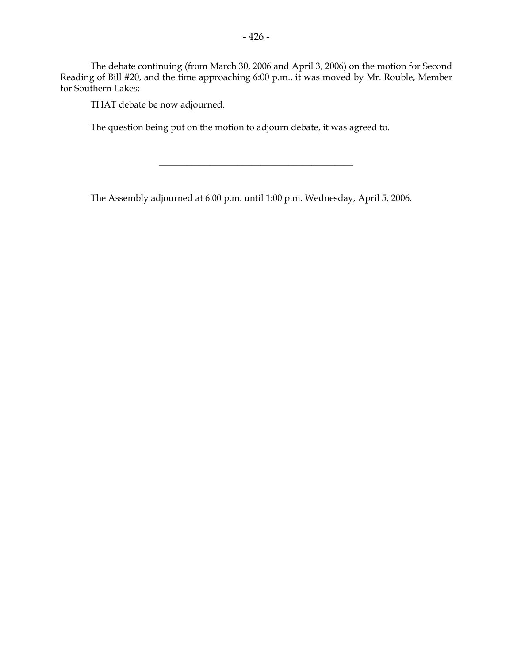The debate continuing (from March 30, 2006 and April 3, 2006) on the motion for Second Reading of Bill #20, and the time approaching 6:00 p.m., it was moved by Mr. Rouble, Member for Southern Lakes:

THAT debate be now adjourned.

The question being put on the motion to adjourn debate, it was agreed to.

The Assembly adjourned at 6:00 p.m. until 1:00 p.m. Wednesday, April 5, 2006.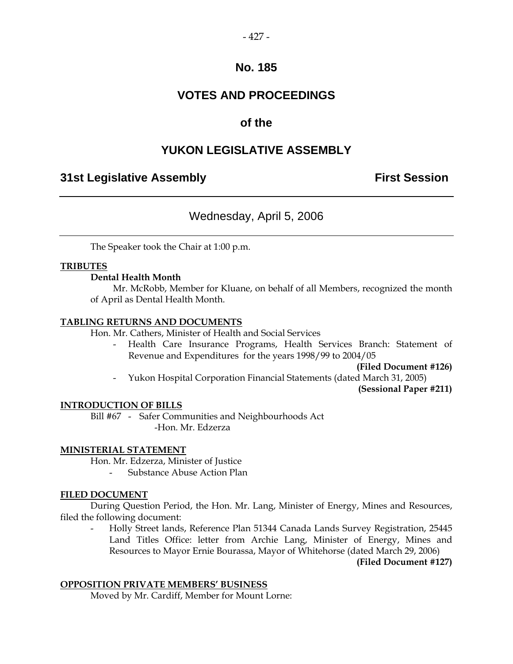### **VOTES AND PROCEEDINGS**

### **of the**

### **YUKON LEGISLATIVE ASSEMBLY**

### **31st Legislative Assembly First Session**

### Wednesday, April 5, 2006

The Speaker took the Chair at 1:00 p.m.

#### **TRIBUTES**

#### **Dental Health Month**

 Mr. McRobb, Member for Kluane, on behalf of all Members, recognized the month of April as Dental Health Month.

#### **TABLING RETURNS AND DOCUMENTS**

Hon. Mr. Cathers, Minister of Health and Social Services

 - Health Care Insurance Programs, Health Services Branch: Statement of Revenue and Expenditures for the years 1998/99 to 2004/05

**(Filed Document #126)** 

- Yukon Hospital Corporation Financial Statements (dated March 31, 2005)

**(Sessional Paper #211)** 

#### **INTRODUCTION OF BILLS**

 Bill #67 - Safer Communities and Neighbourhoods Act -Hon. Mr. Edzerza

#### **MINISTERIAL STATEMENT**

Hon. Mr. Edzerza, Minister of Justice

- Substance Abuse Action Plan

#### **FILED DOCUMENT**

 During Question Period, the Hon. Mr. Lang, Minister of Energy, Mines and Resources, filed the following document:

 - Holly Street lands, Reference Plan 51344 Canada Lands Survey Registration, 25445 Land Titles Office: letter from Archie Lang, Minister of Energy, Mines and Resources to Mayor Ernie Bourassa, Mayor of Whitehorse (dated March 29, 2006)

**(Filed Document #127)** 

#### **OPPOSITION PRIVATE MEMBERS' BUSINESS**

Moved by Mr. Cardiff, Member for Mount Lorne: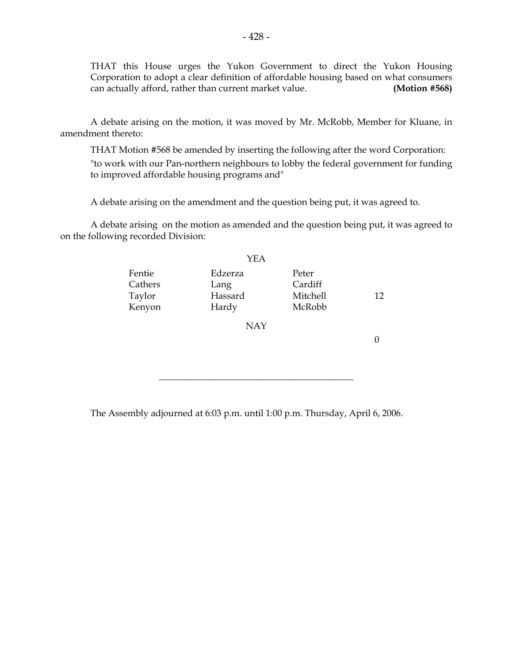THAT this House urges the Yukon Government to direct the Yukon Housing Corporation to adopt a clear definition of affordable housing based on what consumers can actually afford, rather than current market value. **(Motion #568)** 

 A debate arising on the motion, it was moved by Mr. McRobb, Member for Kluane, in amendment thereto:

 THAT Motion #568 be amended by inserting the following after the word Corporation: "to work with our Pan-northern neighbours to lobby the federal government for funding to improved affordable housing programs and"

A debate arising on the amendment and the question being put, it was agreed to.

 A debate arising on the motion as amended and the question being put, it was agreed to on the following recorded Division:

|                                       | YEA                                 |                                        |    |
|---------------------------------------|-------------------------------------|----------------------------------------|----|
| Fentie<br>Cathers<br>Taylor<br>Kenyon | Edzerza<br>Lang<br>Hassard<br>Hardy | Peter<br>Cardiff<br>Mitchell<br>McRobb | 12 |
|                                       | <b>NAY</b>                          |                                        |    |
|                                       |                                     |                                        |    |

\_\_\_\_\_\_\_\_\_\_\_\_\_\_\_\_\_\_\_\_\_\_\_\_\_\_\_\_\_\_\_\_\_\_\_\_\_\_\_\_\_\_

The Assembly adjourned at 6:03 p.m. until 1:00 p.m. Thursday, April 6, 2006.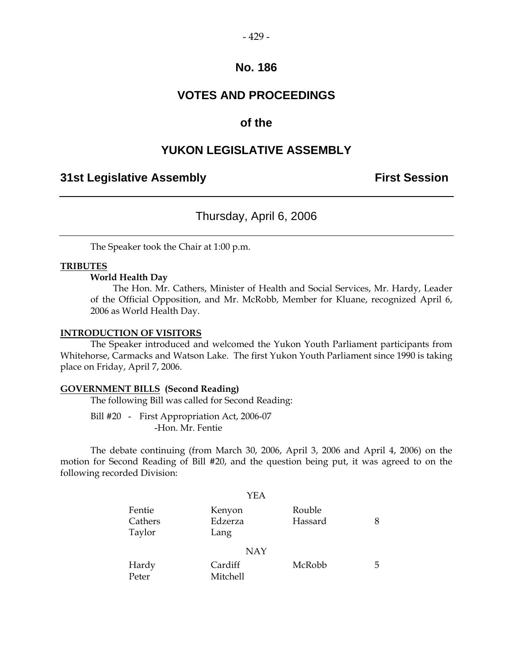### **VOTES AND PROCEEDINGS**

### **of the**

### **YUKON LEGISLATIVE ASSEMBLY**

### **31st Legislative Assembly The Contract Session**

### Thursday, April 6, 2006

The Speaker took the Chair at 1:00 p.m.

#### **TRIBUTES**

#### **World Health Day**

 The Hon. Mr. Cathers, Minister of Health and Social Services, Mr. Hardy, Leader of the Official Opposition, and Mr. McRobb, Member for Kluane, recognized April 6, 2006 as World Health Day.

#### **INTRODUCTION OF VISITORS**

 The Speaker introduced and welcomed the Yukon Youth Parliament participants from Whitehorse, Carmacks and Watson Lake. The first Yukon Youth Parliament since 1990 is taking place on Friday, April 7, 2006.

#### **GOVERNMENT BILLS (Second Reading)**

The following Bill was called for Second Reading:

 Bill #20 - First Appropriation Act, 2006-07 -Hon. Mr. Fentie

 The debate continuing (from March 30, 2006, April 3, 2006 and April 4, 2006) on the motion for Second Reading of Bill #20, and the question being put, it was agreed to on the following recorded Division:

|                             | YEA                       |                   |   |
|-----------------------------|---------------------------|-------------------|---|
| Fentie<br>Cathers<br>Taylor | Kenyon<br>Edzerza<br>Lang | Rouble<br>Hassard | 8 |
|                             | <b>NAY</b>                |                   |   |
| Hardy<br>Peter              | Cardiff<br>Mitchell       | McRobb            | 5 |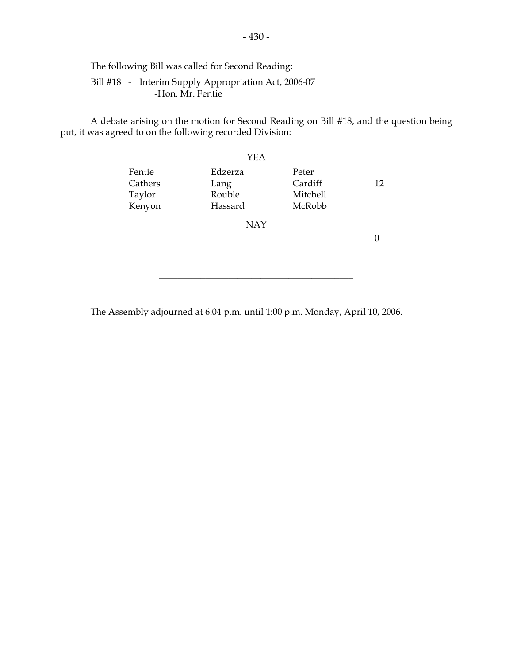The following Bill was called for Second Reading:

 Bill #18 - Interim Supply Appropriation Act, 2006-07 -Hon. Mr. Fentie

 A debate arising on the motion for Second Reading on Bill #18, and the question being put, it was agreed to on the following recorded Division:

|                                       | <b>YEA</b>                           |                                        |    |
|---------------------------------------|--------------------------------------|----------------------------------------|----|
| Fentie<br>Cathers<br>Taylor<br>Kenyon | Edzerza<br>Lang<br>Rouble<br>Hassard | Peter<br>Cardiff<br>Mitchell<br>McRobb | 12 |
|                                       | <b>NAY</b>                           |                                        |    |
|                                       |                                      |                                        |    |

\_\_\_\_\_\_\_\_\_\_\_\_\_\_\_\_\_\_\_\_\_\_\_\_\_\_\_\_\_\_\_\_\_\_\_\_\_\_\_\_\_\_

The Assembly adjourned at 6:04 p.m. until 1:00 p.m. Monday, April 10, 2006.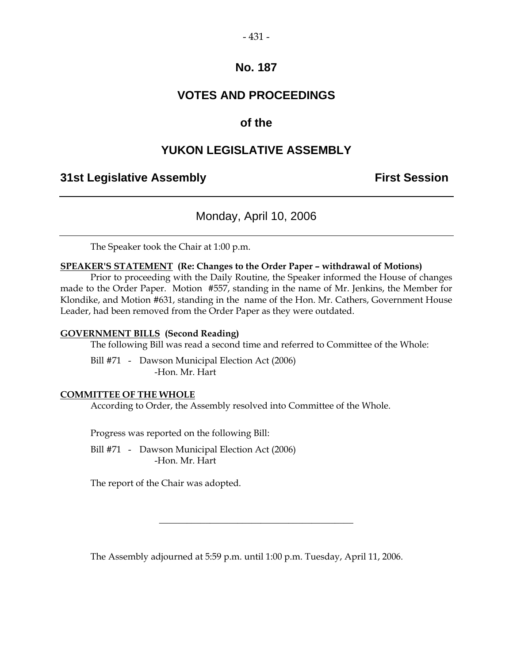#### $-431-$

### **No. 187**

### **VOTES AND PROCEEDINGS**

### **of the**

### **YUKON LEGISLATIVE ASSEMBLY**

### **31st Legislative Assembly First Session**

### Monday, April 10, 2006

The Speaker took the Chair at 1:00 p.m.

#### **SPEAKER'S STATEMENT (Re: Changes to the Order Paper – withdrawal of Motions)**

 Prior to proceeding with the Daily Routine, the Speaker informed the House of changes made to the Order Paper. Motion #557, standing in the name of Mr. Jenkins, the Member for Klondike, and Motion #631, standing in the name of the Hon. Mr. Cathers, Government House Leader, had been removed from the Order Paper as they were outdated.

#### **GOVERNMENT BILLS (Second Reading)**

The following Bill was read a second time and referred to Committee of the Whole:

 Bill #71 - Dawson Municipal Election Act (2006) -Hon. Mr. Hart

#### **COMMITTEE OF THE WHOLE**

According to Order, the Assembly resolved into Committee of the Whole.

Progress was reported on the following Bill:

 Bill #71 - Dawson Municipal Election Act (2006) -Hon. Mr. Hart

The report of the Chair was adopted.

The Assembly adjourned at 5:59 p.m. until 1:00 p.m. Tuesday, April 11, 2006.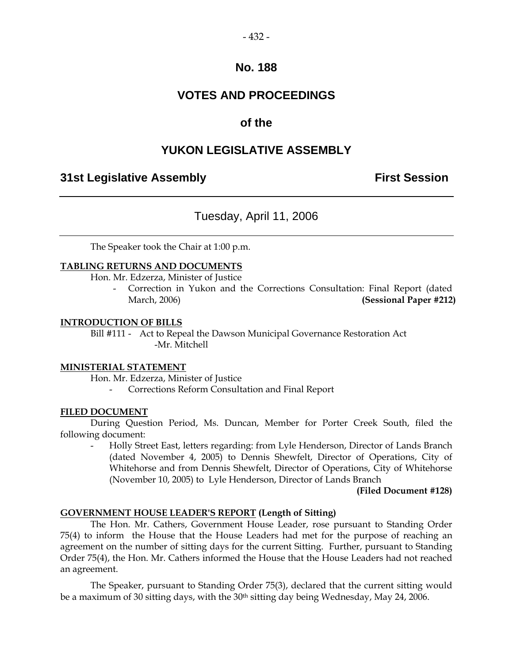### **VOTES AND PROCEEDINGS**

### **of the**

### **YUKON LEGISLATIVE ASSEMBLY**

### **31st Legislative Assembly First Session**

### Tuesday, April 11, 2006

The Speaker took the Chair at 1:00 p.m.

#### **TABLING RETURNS AND DOCUMENTS**

Hon. Mr. Edzerza, Minister of Justice

Correction in Yukon and the Corrections Consultation: Final Report (dated March, 2006) **(Sessional Paper #212)** 

#### **INTRODUCTION OF BILLS**

 Bill #111 - Act to Repeal the Dawson Municipal Governance Restoration Act -Mr. Mitchell

#### **MINISTERIAL STATEMENT**

Hon. Mr. Edzerza, Minister of Justice

- Corrections Reform Consultation and Final Report

#### **FILED DOCUMENT**

 During Question Period, Ms. Duncan, Member for Porter Creek South, filed the following document:

 - Holly Street East, letters regarding: from Lyle Henderson, Director of Lands Branch (dated November 4, 2005) to Dennis Shewfelt, Director of Operations, City of Whitehorse and from Dennis Shewfelt, Director of Operations, City of Whitehorse (November 10, 2005) to Lyle Henderson, Director of Lands Branch

#### **(Filed Document #128)**

#### **GOVERNMENT HOUSE LEADER'S REPORT (Length of Sitting)**

The Hon. Mr. Cathers, Government House Leader, rose pursuant to Standing Order 75(4) to inform the House that the House Leaders had met for the purpose of reaching an agreement on the number of sitting days for the current Sitting. Further, pursuant to Standing Order 75(4), the Hon. Mr. Cathers informed the House that the House Leaders had not reached an agreement.

 The Speaker, pursuant to Standing Order 75(3), declared that the current sitting would be a maximum of 30 sitting days, with the 30<sup>th</sup> sitting day being Wednesday, May 24, 2006.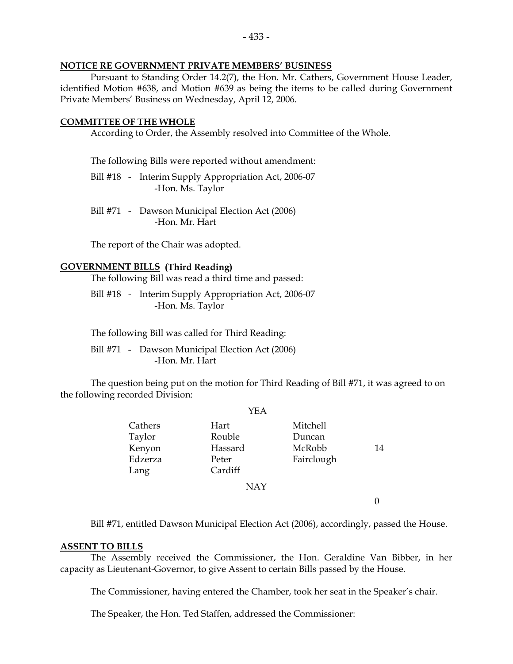#### **NOTICE RE GOVERNMENT PRIVATE MEMBERS' BUSINESS**

 Pursuant to Standing Order 14.2(7), the Hon. Mr. Cathers, Government House Leader, identified Motion #638, and Motion #639 as being the items to be called during Government Private Members' Business on Wednesday, April 12, 2006.

#### **COMMITTEE OF THE WHOLE**

According to Order, the Assembly resolved into Committee of the Whole.

The following Bills were reported without amendment:

 Bill #18 - Interim Supply Appropriation Act, 2006-07 -Hon. Ms. Taylor

 Bill #71 - Dawson Municipal Election Act (2006) -Hon. Mr. Hart

The report of the Chair was adopted.

#### **GOVERNMENT BILLS (Third Reading)**

The following Bill was read a third time and passed:

 Bill #18 - Interim Supply Appropriation Act, 2006-07 -Hon. Ms. Taylor

The following Bill was called for Third Reading:

 Bill #71 - Dawson Municipal Election Act (2006) -Hon. Mr. Hart

 The question being put on the motion for Third Reading of Bill #71, it was agreed to on the following recorded Division:

|                                                | YEA                                           |                                                   |    |
|------------------------------------------------|-----------------------------------------------|---------------------------------------------------|----|
| Cathers<br>Taylor<br>Kenyon<br>Edzerza<br>Lang | Hart<br>Rouble<br>Hassard<br>Peter<br>Cardiff | <b>Mitchell</b><br>Duncan<br>McRobb<br>Fairclough | 14 |
|                                                | <b>NAY</b>                                    |                                                   |    |
|                                                |                                               |                                                   |    |

Bill #71, entitled Dawson Municipal Election Act (2006), accordingly, passed the House.

#### **ASSENT TO BILLS**

 The Assembly received the Commissioner, the Hon. Geraldine Van Bibber, in her capacity as Lieutenant-Governor, to give Assent to certain Bills passed by the House.

The Commissioner, having entered the Chamber, took her seat in the Speaker's chair.

The Speaker, the Hon. Ted Staffen, addressed the Commissioner: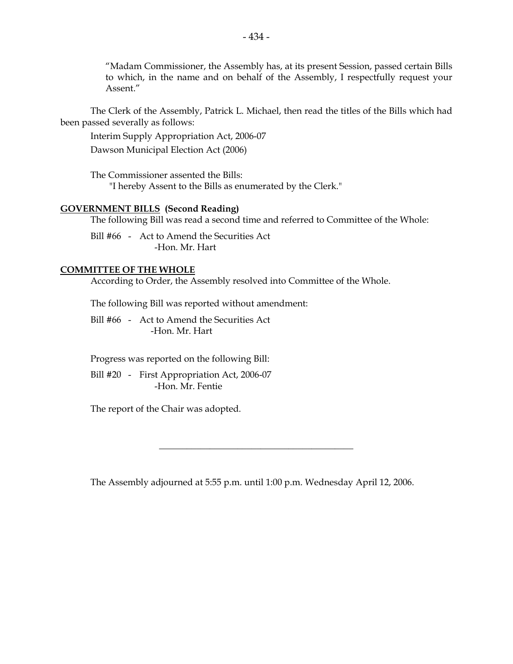"Madam Commissioner, the Assembly has, at its present Session, passed certain Bills to which, in the name and on behalf of the Assembly, I respectfully request your Assent."

 The Clerk of the Assembly, Patrick L. Michael, then read the titles of the Bills which had been passed severally as follows:

Interim Supply Appropriation Act, 2006-07

Dawson Municipal Election Act (2006)

 The Commissioner assented the Bills: "I hereby Assent to the Bills as enumerated by the Clerk."

#### **GOVERNMENT BILLS (Second Reading)**

The following Bill was read a second time and referred to Committee of the Whole:

 Bill #66 - Act to Amend the Securities Act -Hon. Mr. Hart

#### **COMMITTEE OF THE WHOLE**

According to Order, the Assembly resolved into Committee of the Whole.

The following Bill was reported without amendment:

 Bill #66 - Act to Amend the Securities Act -Hon. Mr. Hart

Progress was reported on the following Bill:

 Bill #20 - First Appropriation Act, 2006-07 -Hon. Mr. Fentie

The report of the Chair was adopted.

The Assembly adjourned at 5:55 p.m. until 1:00 p.m. Wednesday April 12, 2006.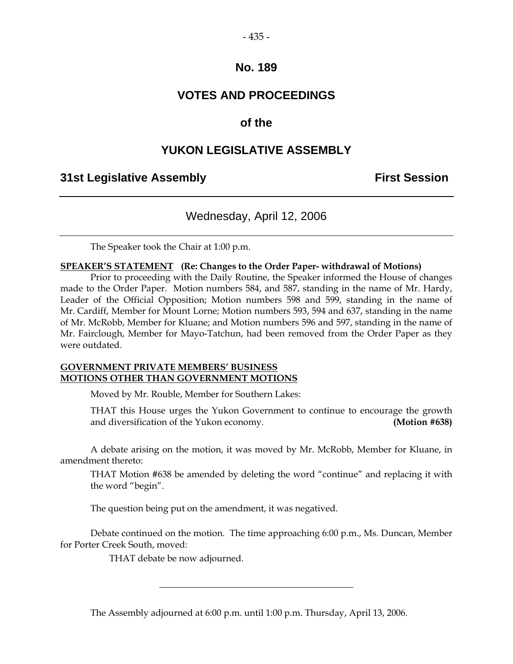#### $-435-$

### **No. 189**

### **VOTES AND PROCEEDINGS**

### **of the**

### **YUKON LEGISLATIVE ASSEMBLY**

### **31st Legislative Assembly First Session**

### Wednesday, April 12, 2006

The Speaker took the Chair at 1:00 p.m.

#### **SPEAKER'S STATEMENT (Re: Changes to the Order Paper- withdrawal of Motions)**

 Prior to proceeding with the Daily Routine, the Speaker informed the House of changes made to the Order Paper. Motion numbers 584, and 587, standing in the name of Mr. Hardy, Leader of the Official Opposition; Motion numbers 598 and 599, standing in the name of Mr. Cardiff, Member for Mount Lorne; Motion numbers 593, 594 and 637, standing in the name of Mr. McRobb, Member for Kluane; and Motion numbers 596 and 597, standing in the name of Mr. Fairclough, Member for Mayo-Tatchun, had been removed from the Order Paper as they were outdated.

#### **GOVERNMENT PRIVATE MEMBERS' BUSINESS MOTIONS OTHER THAN GOVERNMENT MOTIONS**

Moved by Mr. Rouble, Member for Southern Lakes:

 THAT this House urges the Yukon Government to continue to encourage the growth and diversification of the Yukon economy. **(Motion #638)**

 A debate arising on the motion, it was moved by Mr. McRobb, Member for Kluane, in amendment thereto:

 THAT Motion #638 be amended by deleting the word "continue" and replacing it with the word "begin".

The question being put on the amendment, it was negatived.

 Debate continued on the motion. The time approaching 6:00 p.m., Ms. Duncan, Member for Porter Creek South, moved:

\_\_\_\_\_\_\_\_\_\_\_\_\_\_\_\_\_\_\_\_\_\_\_\_\_\_\_\_\_\_\_\_\_\_\_\_\_\_\_\_\_\_

THAT debate be now adjourned.

The Assembly adjourned at 6:00 p.m. until 1:00 p.m. Thursday, April 13, 2006.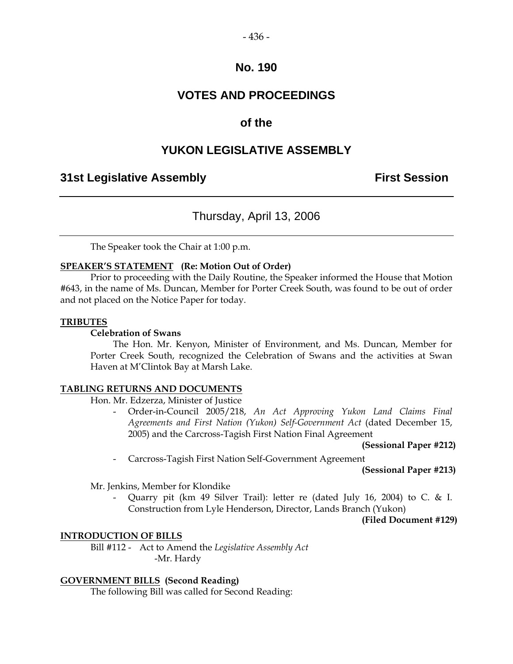#### $-436-$

### **No. 190**

### **VOTES AND PROCEEDINGS**

### **of the**

### **YUKON LEGISLATIVE ASSEMBLY**

### **31st Legislative Assembly First Session**

### Thursday, April 13, 2006

The Speaker took the Chair at 1:00 p.m.

#### **SPEAKER'S STATEMENT (Re: Motion Out of Order)**

 Prior to proceeding with the Daily Routine, the Speaker informed the House that Motion #643, in the name of Ms. Duncan, Member for Porter Creek South, was found to be out of order and not placed on the Notice Paper for today.

#### **TRIBUTES**

#### **Celebration of Swans**

 The Hon. Mr. Kenyon, Minister of Environment, and Ms. Duncan, Member for Porter Creek South, recognized the Celebration of Swans and the activities at Swan Haven at M'Clintok Bay at Marsh Lake.

#### **TABLING RETURNS AND DOCUMENTS**

Hon. Mr. Edzerza, Minister of Justice

 - Order-in-Council 2005/218, *An Act Approving Yukon Land Claims Final Agreements and First Nation (Yukon) Self-Government Act* (dated December 15, 2005) and the Carcross-Tagish First Nation Final Agreement

**(Sessional Paper #212)**

- Carcross-Tagish First Nation Self-Government Agreement

**(Sessional Paper #213)**

Mr. Jenkins, Member for Klondike

 - Quarry pit (km 49 Silver Trail): letter re (dated July 16, 2004) to C. & I. Construction from Lyle Henderson, Director, Lands Branch (Yukon)

**(Filed Document #129)** 

#### **INTRODUCTION OF BILLS**

 Bill #112 - Act to Amend the *Legislative Assembly Act*  -Mr. Hardy

#### **GOVERNMENT BILLS (Second Reading)**

The following Bill was called for Second Reading: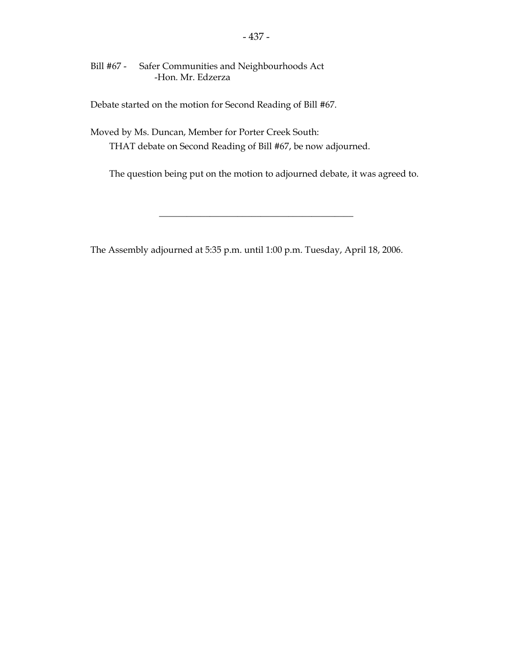Bill #67 - Safer Communities and Neighbourhoods Act -Hon. Mr. Edzerza

Debate started on the motion for Second Reading of Bill #67.

 Moved by Ms. Duncan, Member for Porter Creek South: THAT debate on Second Reading of Bill #67, be now adjourned.

The question being put on the motion to adjourned debate, it was agreed to.

\_\_\_\_\_\_\_\_\_\_\_\_\_\_\_\_\_\_\_\_\_\_\_\_\_\_\_\_\_\_\_\_\_\_\_\_\_\_\_\_\_\_

The Assembly adjourned at 5:35 p.m. until 1:00 p.m. Tuesday, April 18, 2006.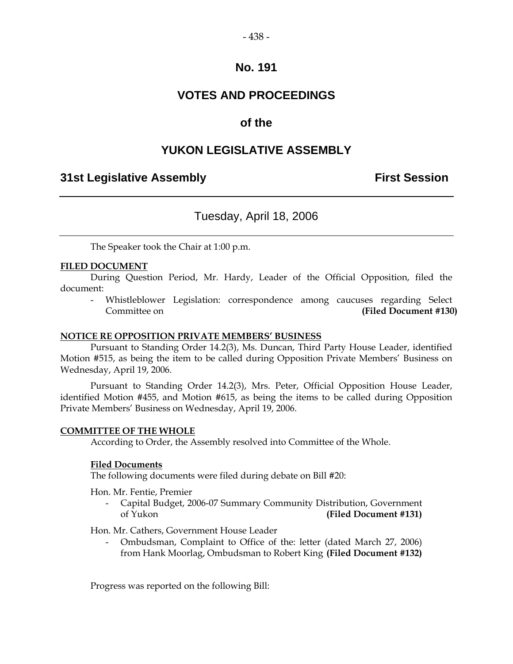### **VOTES AND PROCEEDINGS**

### **of the**

### **YUKON LEGISLATIVE ASSEMBLY**

### **31st Legislative Assembly First Session**

### Tuesday, April 18, 2006

The Speaker took the Chair at 1:00 p.m.

#### **FILED DOCUMENT**

 During Question Period, Mr. Hardy, Leader of the Official Opposition, filed the document:

 - Whistleblower Legislation: correspondence among caucuses regarding Select Committee on **(Filed Document #130)** 

#### **NOTICE RE OPPOSITION PRIVATE MEMBERS' BUSINESS**

 Pursuant to Standing Order 14.2(3), Ms. Duncan, Third Party House Leader, identified Motion #515, as being the item to be called during Opposition Private Members' Business on Wednesday, April 19, 2006.

 Pursuant to Standing Order 14.2(3), Mrs. Peter, Official Opposition House Leader, identified Motion #455, and Motion #615, as being the items to be called during Opposition Private Members' Business on Wednesday, April 19, 2006.

#### **COMMITTEE OF THE WHOLE**

According to Order, the Assembly resolved into Committee of the Whole.

#### **Filed Documents**

The following documents were filed during debate on Bill #20:

Hon. Mr. Fentie, Premier

 - Capital Budget, 2006-07 Summary Community Distribution, Government of Yukon **(Filed Document #131)** 

Hon. Mr. Cathers, Government House Leader

 - Ombudsman, Complaint to Office of the: letter (dated March 27, 2006) from Hank Moorlag, Ombudsman to Robert King **(Filed Document #132)**

Progress was reported on the following Bill: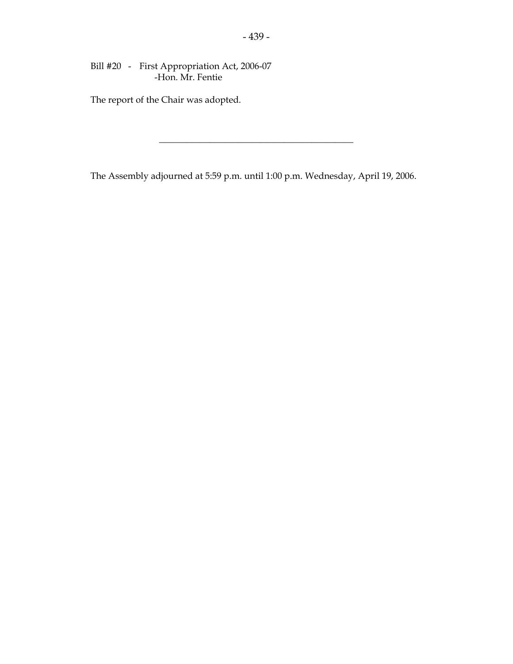Bill #20 - First Appropriation Act, 2006-07 -Hon. Mr. Fentie

The report of the Chair was adopted.

The Assembly adjourned at 5:59 p.m. until 1:00 p.m. Wednesday, April 19, 2006.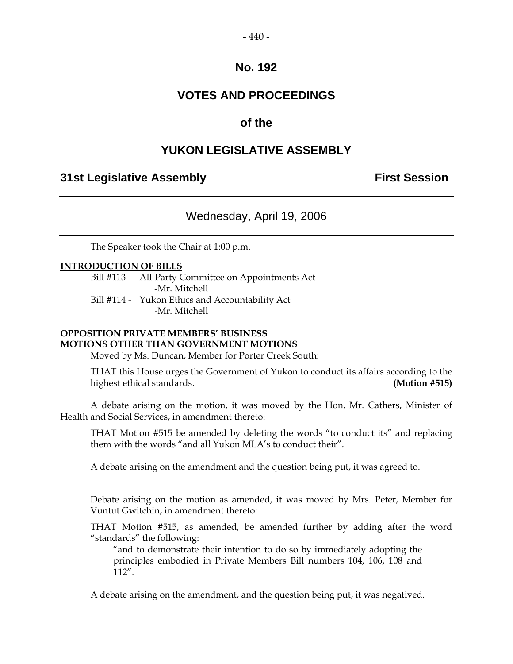### **VOTES AND PROCEEDINGS**

### **of the**

### **YUKON LEGISLATIVE ASSEMBLY**

### **31st Legislative Assembly First Session**

### Wednesday, April 19, 2006

The Speaker took the Chair at 1:00 p.m.

#### **INTRODUCTION OF BILLS**

 Bill #113 - All-Party Committee on Appointments Act -Mr. Mitchell Bill #114 - Yukon Ethics and Accountability Act -Mr. Mitchell

#### **OPPOSITION PRIVATE MEMBERS' BUSINESS MOTIONS OTHER THAN GOVERNMENT MOTIONS**

Moved by Ms. Duncan, Member for Porter Creek South:

 THAT this House urges the Government of Yukon to conduct its affairs according to the highest ethical standards. **(Motion #515)** 

 A debate arising on the motion, it was moved by the Hon. Mr. Cathers, Minister of Health and Social Services, in amendment thereto:

 THAT Motion #515 be amended by deleting the words "to conduct its" and replacing them with the words "and all Yukon MLA's to conduct their".

A debate arising on the amendment and the question being put, it was agreed to.

 Debate arising on the motion as amended, it was moved by Mrs. Peter, Member for Vuntut Gwitchin, in amendment thereto:

 THAT Motion #515, as amended, be amended further by adding after the word "standards" the following:

 "and to demonstrate their intention to do so by immediately adopting the principles embodied in Private Members Bill numbers 104, 106, 108 and 112".

A debate arising on the amendment, and the question being put, it was negatived.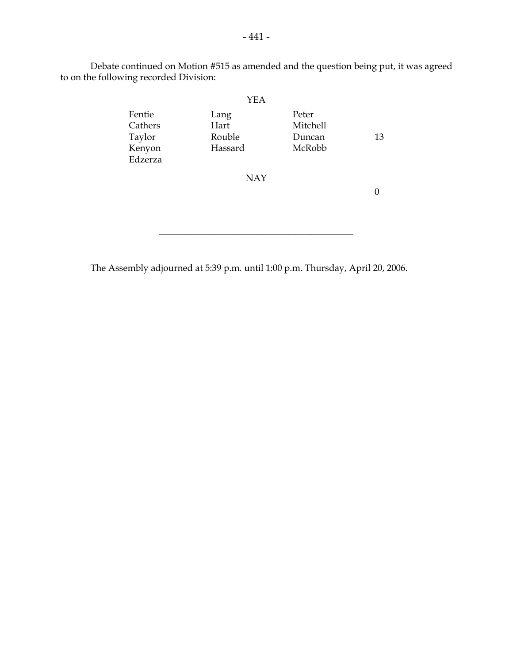Debate continued on Motion #515 as amended and the question being put, it was agreed to on the following recorded Division:

| Lang<br>Hart<br>Rouble<br>Hassard | Peter<br>Mitchell<br>Duncan<br>McRobb | 13 |
|-----------------------------------|---------------------------------------|----|
| <b>NAY</b>                        |                                       |    |
|                                   |                                       |    |

The Assembly adjourned at 5:39 p.m. until 1:00 p.m. Thursday, April 20, 2006.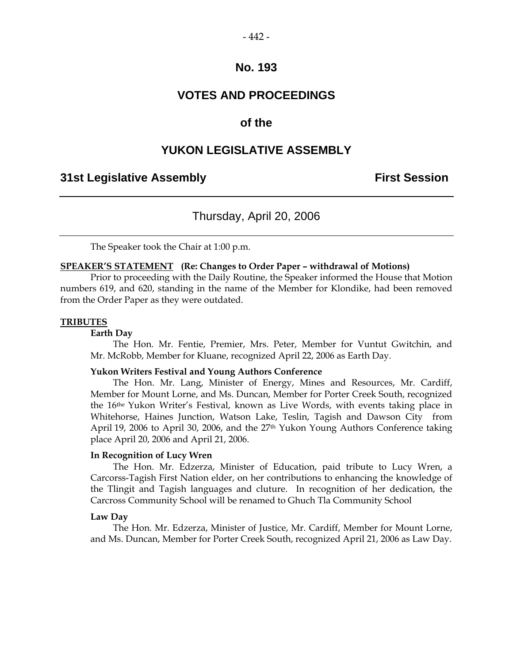#### $-442-$

### **No. 193**

### **VOTES AND PROCEEDINGS**

### **of the**

### **YUKON LEGISLATIVE ASSEMBLY**

### **31st Legislative Assembly First Session**

### Thursday, April 20, 2006

The Speaker took the Chair at 1:00 p.m.

#### **SPEAKER'S STATEMENT (Re: Changes to Order Paper – withdrawal of Motions)**

 Prior to proceeding with the Daily Routine, the Speaker informed the House that Motion numbers 619, and 620, standing in the name of the Member for Klondike, had been removed from the Order Paper as they were outdated.

#### **TRIBUTES**

#### **Earth Day**

 The Hon. Mr. Fentie, Premier, Mrs. Peter, Member for Vuntut Gwitchin, and Mr. McRobb, Member for Kluane, recognized April 22, 2006 as Earth Day.

#### **Yukon Writers Festival and Young Authors Conference**

 The Hon. Mr. Lang, Minister of Energy, Mines and Resources, Mr. Cardiff, Member for Mount Lorne, and Ms. Duncan, Member for Porter Creek South, recognized the 16the Yukon Writer's Festival, known as Live Words, with events taking place in Whitehorse, Haines Junction, Watson Lake, Teslin, Tagish and Dawson City from April 19, 2006 to April 30, 2006, and the 27<sup>th</sup> Yukon Young Authors Conference taking place April 20, 2006 and April 21, 2006.

#### **In Recognition of Lucy Wren**

 The Hon. Mr. Edzerza, Minister of Education, paid tribute to Lucy Wren, a Carcorss-Tagish First Nation elder, on her contributions to enhancing the knowledge of the Tlingit and Tagish languages and cluture. In recognition of her dedication, the Carcross Community School will be renamed to Ghuch Tla Community School

#### **Law Day**

 The Hon. Mr. Edzerza, Minister of Justice, Mr. Cardiff, Member for Mount Lorne, and Ms. Duncan, Member for Porter Creek South, recognized April 21, 2006 as Law Day.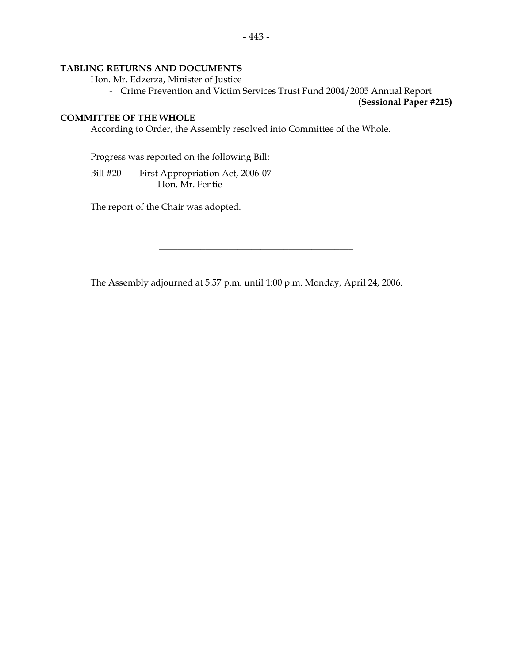#### **TABLING RETURNS AND DOCUMENTS**

Hon. Mr. Edzerza, Minister of Justice

- Crime Prevention and Victim Services Trust Fund 2004/2005 Annual Report

**(Sessional Paper #215)** 

#### **COMMITTEE OF THE WHOLE**

According to Order, the Assembly resolved into Committee of the Whole.

Progress was reported on the following Bill:

 Bill #20 - First Appropriation Act, 2006-07 -Hon. Mr. Fentie

The report of the Chair was adopted.

The Assembly adjourned at 5:57 p.m. until 1:00 p.m. Monday, April 24, 2006.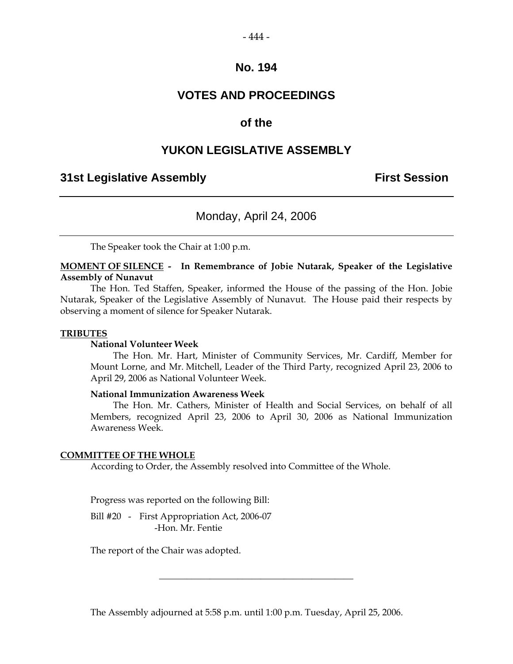#### $-444-$

### **No. 194**

### **VOTES AND PROCEEDINGS**

### **of the**

### **YUKON LEGISLATIVE ASSEMBLY**

### **31st Legislative Assembly First Session**

### Monday, April 24, 2006

The Speaker took the Chair at 1:00 p.m.

**MOMENT OF SILENCE - In Remembrance of Jobie Nutarak, Speaker of the Legislative Assembly of Nunavut** 

 The Hon. Ted Staffen, Speaker, informed the House of the passing of the Hon. Jobie Nutarak, Speaker of the Legislative Assembly of Nunavut. The House paid their respects by observing a moment of silence for Speaker Nutarak.

#### **TRIBUTES**

#### **National Volunteer Week**

 The Hon. Mr. Hart, Minister of Community Services, Mr. Cardiff, Member for Mount Lorne, and Mr. Mitchell, Leader of the Third Party, recognized April 23, 2006 to April 29, 2006 as National Volunteer Week.

#### **National Immunization Awareness Week**

 The Hon. Mr. Cathers, Minister of Health and Social Services, on behalf of all Members, recognized April 23, 2006 to April 30, 2006 as National Immunization Awareness Week.

#### **COMMITTEE OF THE WHOLE**

According to Order, the Assembly resolved into Committee of the Whole.

Progress was reported on the following Bill:

 Bill #20 - First Appropriation Act, 2006-07 -Hon. Mr. Fentie

The report of the Chair was adopted.

The Assembly adjourned at 5:58 p.m. until 1:00 p.m. Tuesday, April 25, 2006.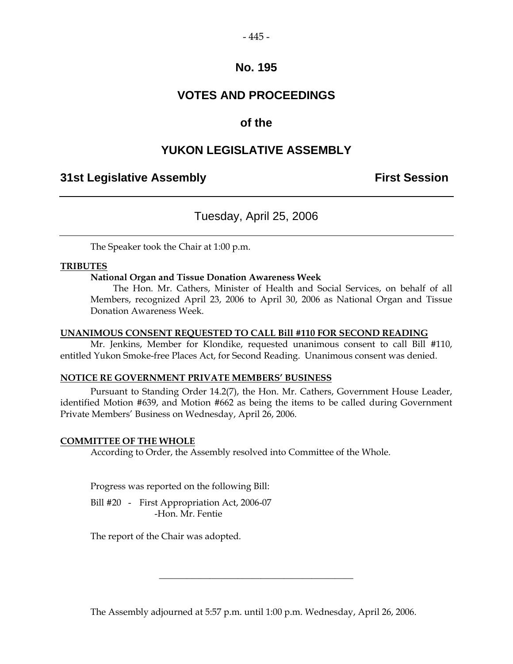### **VOTES AND PROCEEDINGS**

### **of the**

### **YUKON LEGISLATIVE ASSEMBLY**

### **31st Legislative Assembly First Session**

### Tuesday, April 25, 2006

The Speaker took the Chair at 1:00 p.m.

#### **TRIBUTES**

#### **National Organ and Tissue Donation Awareness Week**

 The Hon. Mr. Cathers, Minister of Health and Social Services, on behalf of all Members, recognized April 23, 2006 to April 30, 2006 as National Organ and Tissue Donation Awareness Week.

#### **UNANIMOUS CONSENT REQUESTED TO CALL Bill #110 FOR SECOND READING**

 Mr. Jenkins, Member for Klondike, requested unanimous consent to call Bill #110, entitled Yukon Smoke-free Places Act, for Second Reading. Unanimous consent was denied.

#### **NOTICE RE GOVERNMENT PRIVATE MEMBERS' BUSINESS**

 Pursuant to Standing Order 14.2(7), the Hon. Mr. Cathers, Government House Leader, identified Motion #639, and Motion #662 as being the items to be called during Government Private Members' Business on Wednesday, April 26, 2006.

#### **COMMITTEE OF THE WHOLE**

According to Order, the Assembly resolved into Committee of the Whole.

Progress was reported on the following Bill:

Bill #20 - First Appropriation Act, 2006-07 -Hon. Mr. Fentie

The report of the Chair was adopted.

The Assembly adjourned at 5:57 p.m. until 1:00 p.m. Wednesday, April 26, 2006.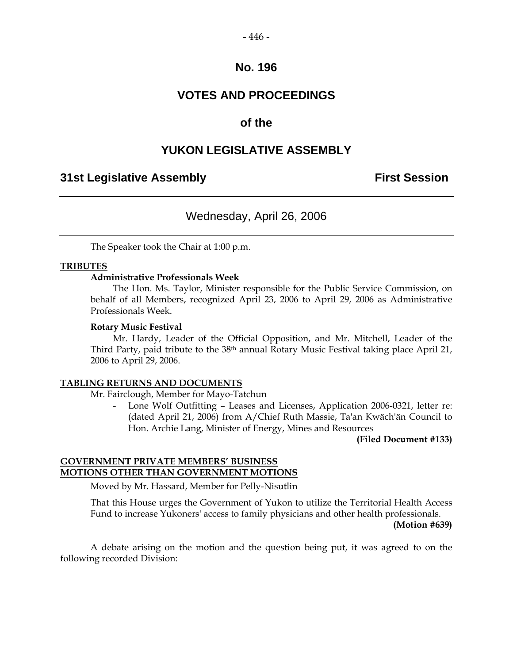#### $-446-$

### **No. 196**

### **VOTES AND PROCEEDINGS**

### **of the**

### **YUKON LEGISLATIVE ASSEMBLY**

### **31st Legislative Assembly First Session**

### Wednesday, April 26, 2006

The Speaker took the Chair at 1:00 p.m.

#### **TRIBUTES**

#### **Administrative Professionals Week**

 The Hon. Ms. Taylor, Minister responsible for the Public Service Commission, on behalf of all Members, recognized April 23, 2006 to April 29, 2006 as Administrative Professionals Week.

#### **Rotary Music Festival**

 Mr. Hardy, Leader of the Official Opposition, and Mr. Mitchell, Leader of the Third Party, paid tribute to the 38th annual Rotary Music Festival taking place April 21, 2006 to April 29, 2006.

#### **TABLING RETURNS AND DOCUMENTS**

Mr. Fairclough, Member for Mayo-Tatchun

Lone Wolf Outfitting - Leases and Licenses, Application 2006-0321, letter re: (dated April 21, 2006) from A/Chief Ruth Massie, Ta'an Kwäch'än Council to Hon. Archie Lang, Minister of Energy, Mines and Resources

**(Filed Document #133)** 

#### **GOVERNMENT PRIVATE MEMBERS' BUSINESS MOTIONS OTHER THAN GOVERNMENT MOTIONS**

Moved by Mr. Hassard, Member for Pelly-Nisutlin

 That this House urges the Government of Yukon to utilize the Territorial Health Access Fund to increase Yukoners' access to family physicians and other health professionals.

#### **(Motion #639)**

 A debate arising on the motion and the question being put, it was agreed to on the following recorded Division: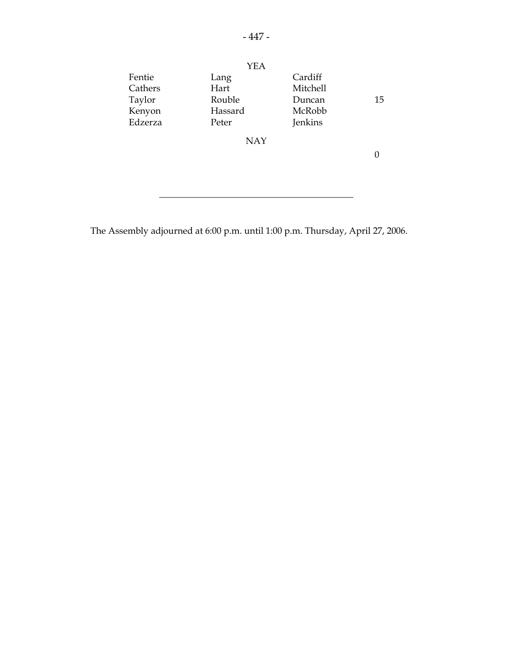|         | YEA        |                 |    |
|---------|------------|-----------------|----|
| Fentie  | Lang       | Cardiff         |    |
| Cathers | Hart       | <b>Mitchell</b> |    |
| Taylor  | Rouble     | Duncan          | 15 |
| Kenyon  | Hassard    | McRobb          |    |
| Edzerza | Peter      | Jenkins         |    |
|         | <b>NAY</b> |                 |    |
|         |            |                 |    |
|         |            |                 |    |
|         |            |                 |    |

\_\_\_\_\_\_\_\_\_\_\_\_\_\_\_\_\_\_\_\_\_\_\_\_\_\_\_\_\_\_\_\_\_\_\_\_\_\_\_\_\_\_

The Assembly adjourned at 6:00 p.m. until 1:00 p.m. Thursday, April 27, 2006.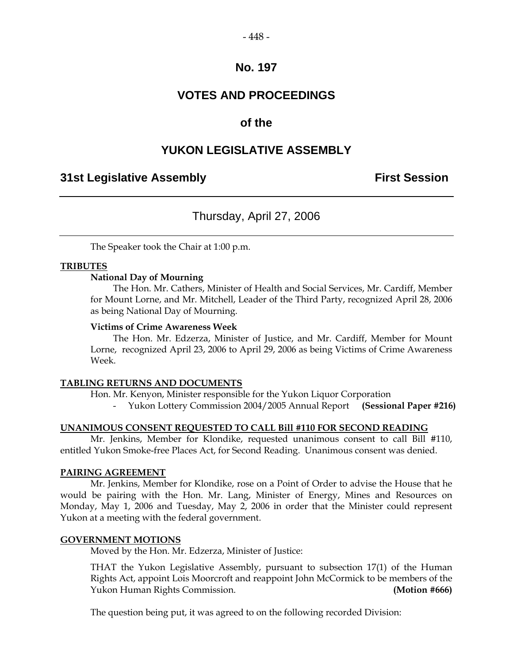### **VOTES AND PROCEEDINGS**

### **of the**

### **YUKON LEGISLATIVE ASSEMBLY**

### **31st Legislative Assembly First Session**

### Thursday, April 27, 2006

The Speaker took the Chair at 1:00 p.m.

#### **TRIBUTES**

#### **National Day of Mourning**

 The Hon. Mr. Cathers, Minister of Health and Social Services, Mr. Cardiff, Member for Mount Lorne, and Mr. Mitchell, Leader of the Third Party, recognized April 28, 2006 as being National Day of Mourning.

#### **Victims of Crime Awareness Week**

 The Hon. Mr. Edzerza, Minister of Justice, and Mr. Cardiff, Member for Mount Lorne, recognized April 23, 2006 to April 29, 2006 as being Victims of Crime Awareness Week.

#### **TABLING RETURNS AND DOCUMENTS**

Hon. Mr. Kenyon, Minister responsible for the Yukon Liquor Corporation

- Yukon Lottery Commission 2004/2005 Annual Report **(Sessional Paper #216)** 

#### **UNANIMOUS CONSENT REQUESTED TO CALL Bill #110 FOR SECOND READING**

 Mr. Jenkins, Member for Klondike, requested unanimous consent to call Bill #110, entitled Yukon Smoke-free Places Act, for Second Reading. Unanimous consent was denied.

#### **PAIRING AGREEMENT**

 Mr. Jenkins, Member for Klondike, rose on a Point of Order to advise the House that he would be pairing with the Hon. Mr. Lang, Minister of Energy, Mines and Resources on Monday, May 1, 2006 and Tuesday, May 2, 2006 in order that the Minister could represent Yukon at a meeting with the federal government.

#### **GOVERNMENT MOTIONS**

Moved by the Hon. Mr. Edzerza, Minister of Justice:

 THAT the Yukon Legislative Assembly, pursuant to subsection 17(1) of the Human Rights Act, appoint Lois Moorcroft and reappoint John McCormick to be members of the Yukon Human Rights Commission. **(Motion #666)** 

The question being put, it was agreed to on the following recorded Division: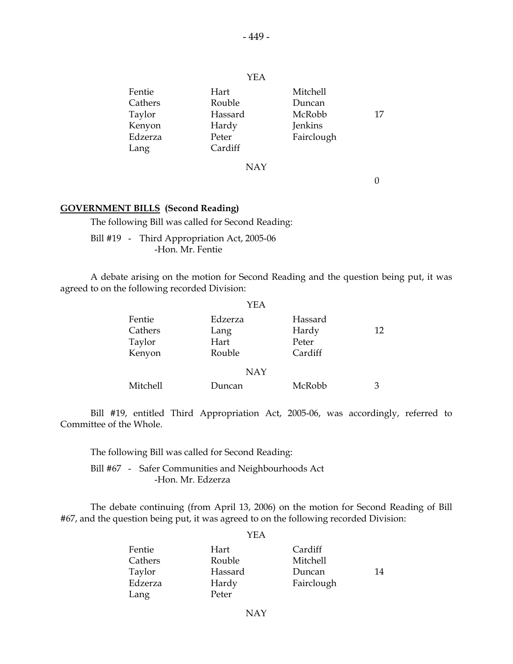| Fentie<br>Cathers<br>Taylor<br>Kenyon<br>Edzerza<br>Lang | Hart<br>Rouble<br>Hassard<br>Hardy<br>Peter<br>Cardiff | Mitchell<br>Duncan<br>McRobb<br>Jenkins<br>Fairclough | 17 |
|----------------------------------------------------------|--------------------------------------------------------|-------------------------------------------------------|----|
|                                                          | <b>NAY</b>                                             |                                                       |    |
|                                                          |                                                        |                                                       |    |

#### **GOVERNMENT BILLS (Second Reading)**

The following Bill was called for Second Reading:

 Bill #19 - Third Appropriation Act, 2005-06 -Hon. Mr. Fentie

 A debate arising on the motion for Second Reading and the question being put, it was agreed to on the following recorded Division:

|                                       | YEA                               |                                      |    |
|---------------------------------------|-----------------------------------|--------------------------------------|----|
| Fentie<br>Cathers<br>Taylor<br>Kenyon | Edzerza<br>Lang<br>Hart<br>Rouble | Hassard<br>Hardy<br>Peter<br>Cardiff | 12 |
|                                       | <b>NAY</b>                        |                                      |    |
| Mitchell                              | Duncan                            | McRobb                               | З  |

 Bill #19, entitled Third Appropriation Act, 2005-06, was accordingly, referred to Committee of the Whole.

The following Bill was called for Second Reading:

 Bill #67 - Safer Communities and Neighbourhoods Act -Hon. Mr. Edzerza

 The debate continuing (from April 13, 2006) on the motion for Second Reading of Bill #67, and the question being put, it was agreed to on the following recorded Division:

|         | YEA     |            |    |
|---------|---------|------------|----|
| Fentie  | Hart    | Cardiff    |    |
| Cathers | Rouble  | Mitchell   |    |
| Taylor  | Hassard | Duncan     | 14 |
| Edzerza | Hardy   | Fairclough |    |
| Lang    | Peter   |            |    |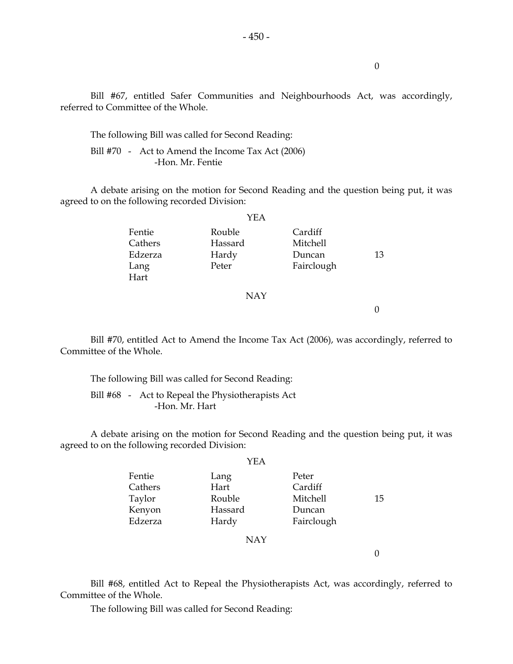Bill #67, entitled Safer Communities and Neighbourhoods Act, was accordingly, referred to Committee of the Whole.

The following Bill was called for Second Reading:

Bill #70 - Act to Amend the Income Tax Act (2006) -Hon. Mr. Fentie

 A debate arising on the motion for Second Reading and the question being put, it was agreed to on the following recorded Division:

|         | YEA     |            |    |
|---------|---------|------------|----|
| Fentie  | Rouble  | Cardiff    |    |
| Cathers | Hassard | Mitchell   |    |
| Edzerza | Hardy   | Duncan     | 13 |
| Lang    | Peter   | Fairclough |    |
| Hart    |         |            |    |
|         | NAY     |            |    |

0

0

 Bill #70, entitled Act to Amend the Income Tax Act (2006), was accordingly, referred to Committee of the Whole.

 The following Bill was called for Second Reading: Bill #68 - Act to Repeal the Physiotherapists Act

-Hon. Mr. Hart

 A debate arising on the motion for Second Reading and the question being put, it was agreed to on the following recorded Division:

|         | YEA     |            |    |
|---------|---------|------------|----|
| Fentie  | Lang    | Peter      |    |
| Cathers | Hart    | Cardiff    |    |
| Taylor  | Rouble  | Mitchell   | 15 |
| Kenyon  | Hassard | Duncan     |    |
| Edzerza | Hardy   | Fairclough |    |

NAY

0

 Bill #68, entitled Act to Repeal the Physiotherapists Act, was accordingly, referred to Committee of the Whole.

The following Bill was called for Second Reading: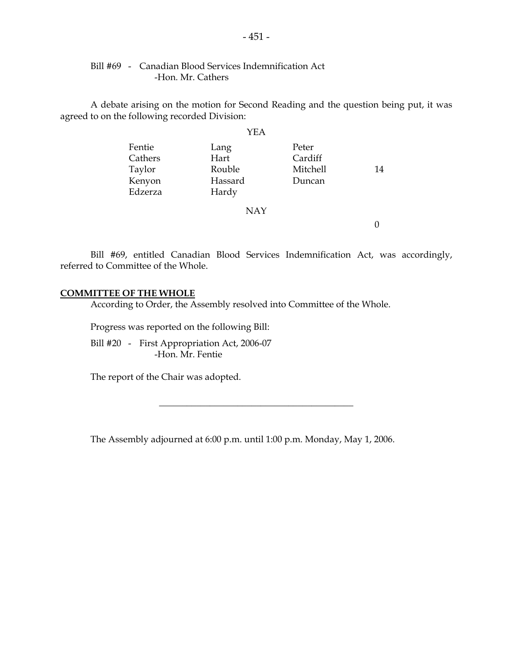### Bill #69 - Canadian Blood Services Indemnification Act -Hon. Mr. Cathers

 A debate arising on the motion for Second Reading and the question being put, it was agreed to on the following recorded Division:

|                                                  | <b>YEA</b>                                 |                                        |    |
|--------------------------------------------------|--------------------------------------------|----------------------------------------|----|
| Fentie<br>Cathers<br>Taylor<br>Kenyon<br>Edzerza | Lang<br>Hart<br>Rouble<br>Hassard<br>Hardy | Peter<br>Cardiff<br>Mitchell<br>Duncan | 14 |
|                                                  | <b>NAY</b>                                 |                                        |    |
|                                                  |                                            |                                        |    |

 Bill #69, entitled Canadian Blood Services Indemnification Act, was accordingly, referred to Committee of the Whole.

#### **COMMITTEE OF THE WHOLE**

According to Order, the Assembly resolved into Committee of the Whole.

Progress was reported on the following Bill:

 Bill #20 - First Appropriation Act, 2006-07 -Hon. Mr. Fentie

The report of the Chair was adopted.

The Assembly adjourned at 6:00 p.m. until 1:00 p.m. Monday, May 1, 2006.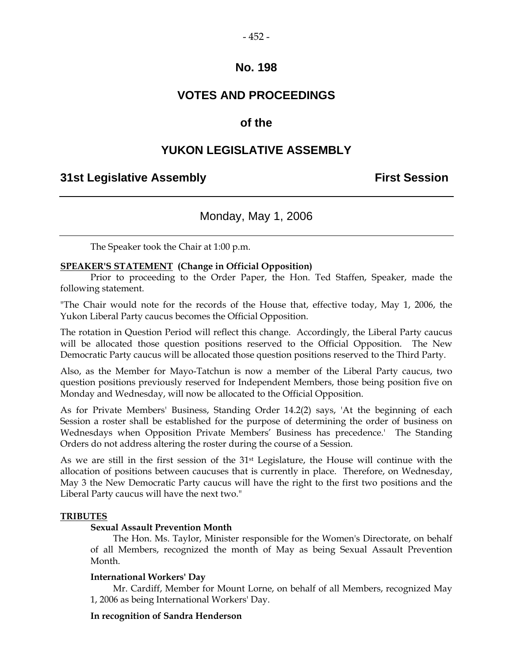### **VOTES AND PROCEEDINGS**

### **of the**

### **YUKON LEGISLATIVE ASSEMBLY**

### **31st Legislative Assembly First Session**

### Monday, May 1, 2006

The Speaker took the Chair at 1:00 p.m.

### **SPEAKER'S STATEMENT (Change in Official Opposition)**

 Prior to proceeding to the Order Paper, the Hon. Ted Staffen, Speaker, made the following statement.

"The Chair would note for the records of the House that, effective today, May 1, 2006, the Yukon Liberal Party caucus becomes the Official Opposition.

The rotation in Question Period will reflect this change. Accordingly, the Liberal Party caucus will be allocated those question positions reserved to the Official Opposition. The New Democratic Party caucus will be allocated those question positions reserved to the Third Party.

Also, as the Member for Mayo-Tatchun is now a member of the Liberal Party caucus, two question positions previously reserved for Independent Members, those being position five on Monday and Wednesday, will now be allocated to the Official Opposition.

As for Private Members' Business, Standing Order 14.2(2) says, 'At the beginning of each Session a roster shall be established for the purpose of determining the order of business on Wednesdays when Opposition Private Members' Business has precedence.' The Standing Orders do not address altering the roster during the course of a Session.

As we are still in the first session of the 31st Legislature, the House will continue with the allocation of positions between caucuses that is currently in place. Therefore, on Wednesday, May 3 the New Democratic Party caucus will have the right to the first two positions and the Liberal Party caucus will have the next two."

#### **TRIBUTES**

#### **Sexual Assault Prevention Month**

 The Hon. Ms. Taylor, Minister responsible for the Women's Directorate, on behalf of all Members, recognized the month of May as being Sexual Assault Prevention Month.

#### **International Workers' Day**

 Mr. Cardiff, Member for Mount Lorne, on behalf of all Members, recognized May 1, 2006 as being International Workers' Day.

#### **In recognition of Sandra Henderson**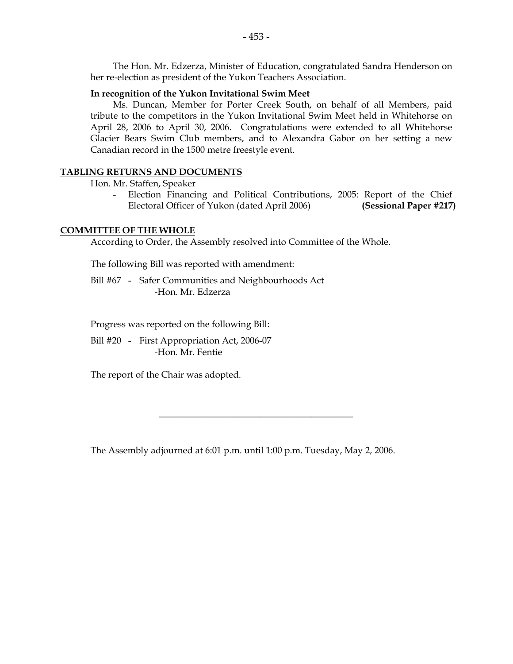The Hon. Mr. Edzerza, Minister of Education, congratulated Sandra Henderson on her re-election as president of the Yukon Teachers Association.

#### **In recognition of the Yukon Invitational Swim Meet**

 Ms. Duncan, Member for Porter Creek South, on behalf of all Members, paid tribute to the competitors in the Yukon Invitational Swim Meet held in Whitehorse on April 28, 2006 to April 30, 2006. Congratulations were extended to all Whitehorse Glacier Bears Swim Club members, and to Alexandra Gabor on her setting a new Canadian record in the 1500 metre freestyle event.

#### **TABLING RETURNS AND DOCUMENTS**

Hon. Mr. Staffen, Speaker

Election Financing and Political Contributions, 2005: Report of the Chief Electoral Officer of Yukon (dated April 2006) **(Sessional Paper #217)** 

#### **COMMITTEE OF THE WHOLE**

According to Order, the Assembly resolved into Committee of the Whole.

The following Bill was reported with amendment:

 Bill #67 - Safer Communities and Neighbourhoods Act -Hon. Mr. Edzerza

Progress was reported on the following Bill:

 Bill #20 - First Appropriation Act, 2006-07 -Hon. Mr. Fentie

The report of the Chair was adopted.

The Assembly adjourned at 6:01 p.m. until 1:00 p.m. Tuesday, May 2, 2006.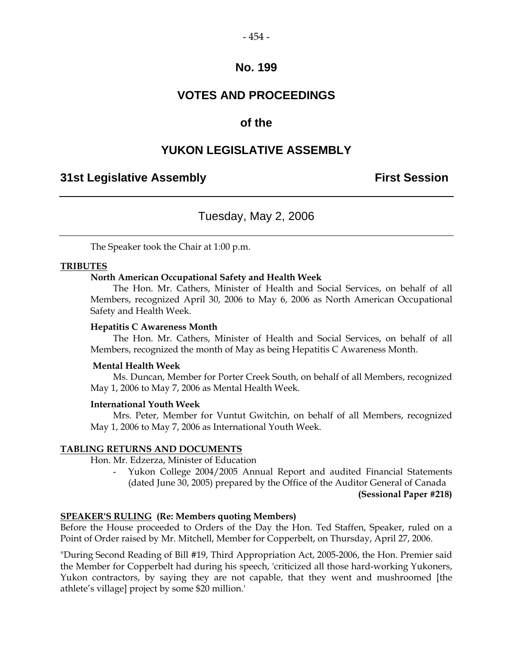#### $-454-$

### **No. 199**

### **VOTES AND PROCEEDINGS**

### **of the**

### **YUKON LEGISLATIVE ASSEMBLY**

### **31st Legislative Assembly First Session**

### Tuesday, May 2, 2006

The Speaker took the Chair at 1:00 p.m.

#### **TRIBUTES**

#### **North American Occupational Safety and Health Week**

 The Hon. Mr. Cathers, Minister of Health and Social Services, on behalf of all Members, recognized April 30, 2006 to May 6, 2006 as North American Occupational Safety and Health Week.

#### **Hepatitis C Awareness Month**

 The Hon. Mr. Cathers, Minister of Health and Social Services, on behalf of all Members, recognized the month of May as being Hepatitis C Awareness Month.

#### **Mental Health Week**

 Ms. Duncan, Member for Porter Creek South, on behalf of all Members, recognized May 1, 2006 to May 7, 2006 as Mental Health Week.

#### **International Youth Week**

 Mrs. Peter, Member for Vuntut Gwitchin, on behalf of all Members, recognized May 1, 2006 to May 7, 2006 as International Youth Week.

#### **TABLING RETURNS AND DOCUMENTS**

Hon. Mr. Edzerza, Minister of Education

 - Yukon College 2004/2005 Annual Report and audited Financial Statements (dated June 30, 2005) prepared by the Office of the Auditor General of Canada

**(Sessional Paper #218)** 

#### **SPEAKER'S RULING (Re: Members quoting Members)**

Before the House proceeded to Orders of the Day the Hon. Ted Staffen, Speaker, ruled on a Point of Order raised by Mr. Mitchell, Member for Copperbelt, on Thursday, April 27, 2006.

"During Second Reading of Bill #19, Third Appropriation Act, 2005-2006, the Hon. Premier said the Member for Copperbelt had during his speech, 'criticized all those hard-working Yukoners, Yukon contractors, by saying they are not capable, that they went and mushroomed [the athlete's village] project by some \$20 million.'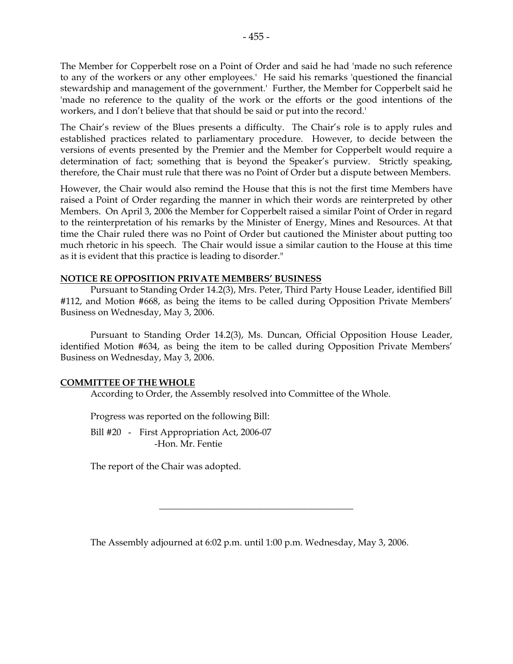The Member for Copperbelt rose on a Point of Order and said he had 'made no such reference to any of the workers or any other employees.' He said his remarks 'questioned the financial stewardship and management of the government.' Further, the Member for Copperbelt said he 'made no reference to the quality of the work or the efforts or the good intentions of the workers, and I don't believe that that should be said or put into the record.'

The Chair's review of the Blues presents a difficulty. The Chair's role is to apply rules and established practices related to parliamentary procedure. However, to decide between the versions of events presented by the Premier and the Member for Copperbelt would require a determination of fact; something that is beyond the Speaker's purview. Strictly speaking, therefore, the Chair must rule that there was no Point of Order but a dispute between Members.

However, the Chair would also remind the House that this is not the first time Members have raised a Point of Order regarding the manner in which their words are reinterpreted by other Members. On April 3, 2006 the Member for Copperbelt raised a similar Point of Order in regard to the reinterpretation of his remarks by the Minister of Energy, Mines and Resources. At that time the Chair ruled there was no Point of Order but cautioned the Minister about putting too much rhetoric in his speech. The Chair would issue a similar caution to the House at this time as it is evident that this practice is leading to disorder."

#### **NOTICE RE OPPOSITION PRIVATE MEMBERS' BUSINESS**

 Pursuant to Standing Order 14.2(3), Mrs. Peter, Third Party House Leader, identified Bill #112, and Motion #668, as being the items to be called during Opposition Private Members' Business on Wednesday, May 3, 2006.

 Pursuant to Standing Order 14.2(3), Ms. Duncan, Official Opposition House Leader, identified Motion #634, as being the item to be called during Opposition Private Members' Business on Wednesday, May 3, 2006.

#### **COMMITTEE OF THE WHOLE**

According to Order, the Assembly resolved into Committee of the Whole.

Progress was reported on the following Bill:

Bill #20 - First Appropriation Act, 2006-07 -Hon. Mr. Fentie

The report of the Chair was adopted.

The Assembly adjourned at 6:02 p.m. until 1:00 p.m. Wednesday, May 3, 2006.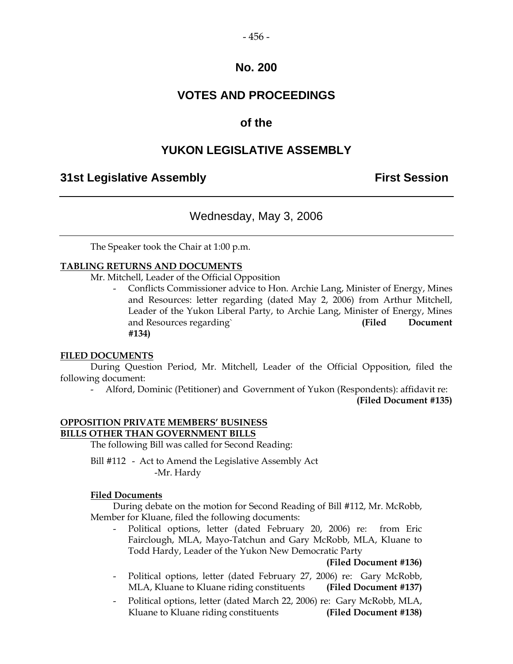#### $-456-$

### **No. 200**

### **VOTES AND PROCEEDINGS**

### **of the**

### **YUKON LEGISLATIVE ASSEMBLY**

### **31st Legislative Assembly First Session**

### Wednesday, May 3, 2006

The Speaker took the Chair at 1:00 p.m.

#### **TABLING RETURNS AND DOCUMENTS**

Mr. Mitchell, Leader of the Official Opposition

 - Conflicts Commissioner advice to Hon. Archie Lang, Minister of Energy, Mines and Resources: letter regarding (dated May 2, 2006) from Arthur Mitchell, Leader of the Yukon Liberal Party, to Archie Lang, Minister of Energy, Mines and Resources regarding` **(Filed Document #134)** 

#### **FILED DOCUMENTS**

 During Question Period, Mr. Mitchell, Leader of the Official Opposition, filed the following document:

- Alford, Dominic (Petitioner) and Government of Yukon (Respondents): affidavit re:

**(Filed Document #135)** 

### **OPPOSITION PRIVATE MEMBERS' BUSINESS BILLS OTHER THAN GOVERNMENT BILLS**

The following Bill was called for Second Reading:

 Bill #112 - Act to Amend the Legislative Assembly Act -Mr. Hardy

#### **Filed Documents**

 During debate on the motion for Second Reading of Bill #112, Mr. McRobb, Member for Kluane, filed the following documents:

Political options, letter (dated February 20, 2006) re: from Eric Fairclough, MLA, Mayo-Tatchun and Gary McRobb, MLA, Kluane to Todd Hardy, Leader of the Yukon New Democratic Party

#### **(Filed Document #136)**

- Political options, letter (dated February 27, 2006) re: Gary McRobb, MLA, Kluane to Kluane riding constituents **(Filed Document #137)**
- Political options, letter (dated March 22, 2006) re: Gary McRobb, MLA, Kluane to Kluane riding constituents **(Filed Document #138)**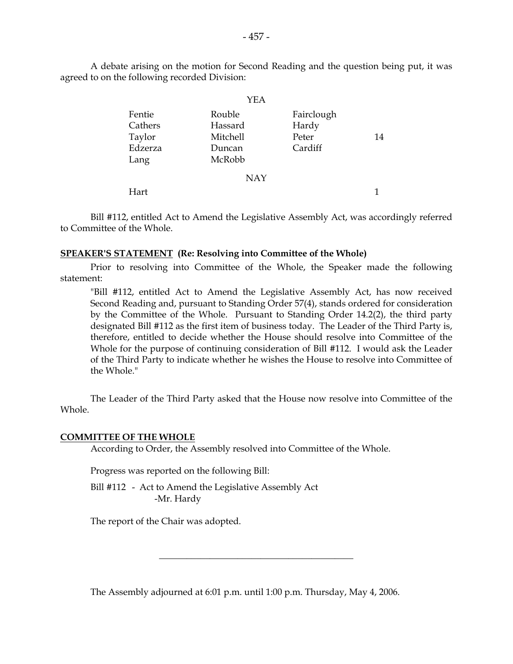A debate arising on the motion for Second Reading and the question being put, it was agreed to on the following recorded Division:

|         | YEA        |            |    |
|---------|------------|------------|----|
| Fentie  | Rouble     | Fairclough |    |
| Cathers | Hassard    | Hardy      |    |
| Taylor  | Mitchell   | Peter      | 14 |
| Edzerza | Duncan     | Cardiff    |    |
| Lang    | McRobb     |            |    |
|         | <b>NAY</b> |            |    |
| Hart    |            |            | 1  |

 Bill #112, entitled Act to Amend the Legislative Assembly Act, was accordingly referred to Committee of the Whole.

#### **SPEAKER'S STATEMENT (Re: Resolving into Committee of the Whole)**

 Prior to resolving into Committee of the Whole, the Speaker made the following statement:

 "Bill #112, entitled Act to Amend the Legislative Assembly Act, has now received Second Reading and, pursuant to Standing Order 57(4), stands ordered for consideration by the Committee of the Whole. Pursuant to Standing Order 14.2(2), the third party designated Bill #112 as the first item of business today. The Leader of the Third Party is, therefore, entitled to decide whether the House should resolve into Committee of the Whole for the purpose of continuing consideration of Bill #112. I would ask the Leader of the Third Party to indicate whether he wishes the House to resolve into Committee of the Whole."

 The Leader of the Third Party asked that the House now resolve into Committee of the Whole.

#### **COMMITTEE OF THE WHOLE**

According to Order, the Assembly resolved into Committee of the Whole.

Progress was reported on the following Bill:

 Bill #112 - Act to Amend the Legislative Assembly Act -Mr. Hardy

The report of the Chair was adopted.

The Assembly adjourned at 6:01 p.m. until 1:00 p.m. Thursday, May 4, 2006.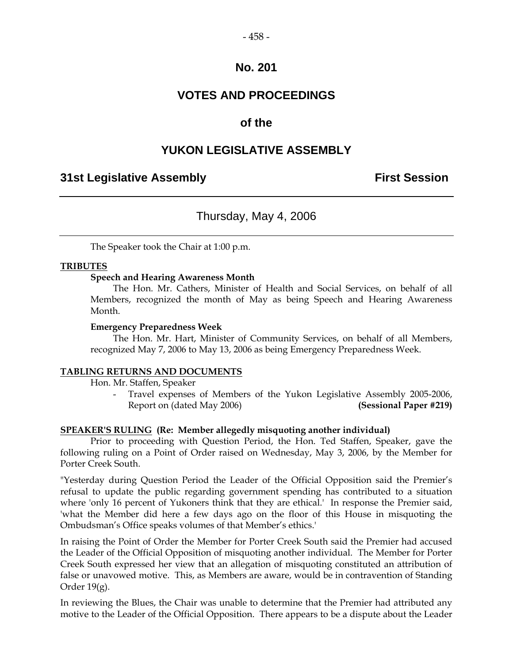### **No. 201**

### **VOTES AND PROCEEDINGS**

### **of the**

### **YUKON LEGISLATIVE ASSEMBLY**

### **31st Legislative Assembly First Session**

### Thursday, May 4, 2006

The Speaker took the Chair at 1:00 p.m.

#### **TRIBUTES**

#### **Speech and Hearing Awareness Month**

 The Hon. Mr. Cathers, Minister of Health and Social Services, on behalf of all Members, recognized the month of May as being Speech and Hearing Awareness Month.

#### **Emergency Preparedness Week**

 The Hon. Mr. Hart, Minister of Community Services, on behalf of all Members, recognized May 7, 2006 to May 13, 2006 as being Emergency Preparedness Week.

#### **TABLING RETURNS AND DOCUMENTS**

Hon. Mr. Staffen, Speaker

 - Travel expenses of Members of the Yukon Legislative Assembly 2005-2006, Report on (dated May 2006) **(Sessional Paper #219)**

#### **SPEAKER'S RULING (Re: Member allegedly misquoting another individual)**

 Prior to proceeding with Question Period, the Hon. Ted Staffen, Speaker, gave the following ruling on a Point of Order raised on Wednesday, May 3, 2006, by the Member for Porter Creek South.

"Yesterday during Question Period the Leader of the Official Opposition said the Premier's refusal to update the public regarding government spending has contributed to a situation where 'only 16 percent of Yukoners think that they are ethical.' In response the Premier said, 'what the Member did here a few days ago on the floor of this House in misquoting the Ombudsman's Office speaks volumes of that Member's ethics.'

In raising the Point of Order the Member for Porter Creek South said the Premier had accused the Leader of the Official Opposition of misquoting another individual. The Member for Porter Creek South expressed her view that an allegation of misquoting constituted an attribution of false or unavowed motive. This, as Members are aware, would be in contravention of Standing Order  $19(g)$ .

In reviewing the Blues, the Chair was unable to determine that the Premier had attributed any motive to the Leader of the Official Opposition. There appears to be a dispute about the Leader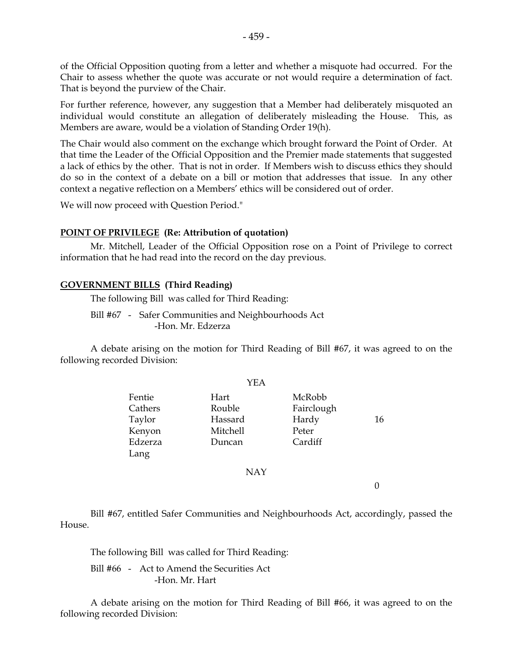of the Official Opposition quoting from a letter and whether a misquote had occurred. For the Chair to assess whether the quote was accurate or not would require a determination of fact. That is beyond the purview of the Chair.

For further reference, however, any suggestion that a Member had deliberately misquoted an individual would constitute an allegation of deliberately misleading the House. This, as Members are aware, would be a violation of Standing Order 19(h).

The Chair would also comment on the exchange which brought forward the Point of Order. At that time the Leader of the Official Opposition and the Premier made statements that suggested a lack of ethics by the other. That is not in order. If Members wish to discuss ethics they should do so in the context of a debate on a bill or motion that addresses that issue. In any other context a negative reflection on a Members' ethics will be considered out of order.

We will now proceed with Question Period."

#### **POINT OF PRIVILEGE (Re: Attribution of quotation)**

 Mr. Mitchell, Leader of the Official Opposition rose on a Point of Privilege to correct information that he had read into the record on the day previous.

#### **GOVERNMENT BILLS (Third Reading)**

The following Bill was called for Third Reading:

 Bill #67 - Safer Communities and Neighbourhoods Act -Hon. Mr. Edzerza

 A debate arising on the motion for Third Reading of Bill #67, it was agreed to on the following recorded Division:

YEA

| 16 |  |
|----|--|
|    |  |
|    |  |
|    |  |
|    |  |
|    |  |
|    |  |

 Bill #67, entitled Safer Communities and Neighbourhoods Act, accordingly, passed the House.

The following Bill was called for Third Reading:

 Bill #66 - Act to Amend the Securities Act -Hon. Mr. Hart

 A debate arising on the motion for Third Reading of Bill #66, it was agreed to on the following recorded Division: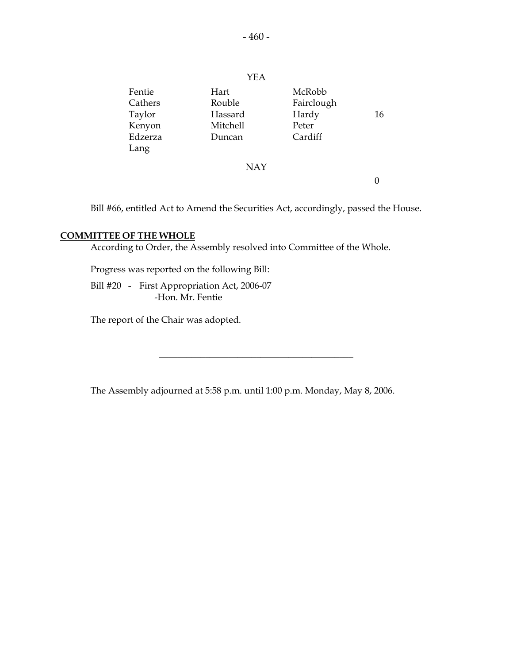|         | YEA        |            |    |
|---------|------------|------------|----|
| Fentie  | Hart       | McRobb     |    |
| Cathers | Rouble     | Fairclough |    |
| Taylor  | Hassard    | Hardy      | 16 |
| Kenyon  | Mitchell   | Peter      |    |
| Edzerza | Duncan     | Cardiff    |    |
| Lang    |            |            |    |
|         | <b>NAY</b> |            |    |
|         |            |            |    |

Bill #66, entitled Act to Amend the Securities Act, accordingly, passed the House.

#### **COMMITTEE OF THE WHOLE**

According to Order, the Assembly resolved into Committee of the Whole.

Progress was reported on the following Bill:

 Bill #20 - First Appropriation Act, 2006-07 -Hon. Mr. Fentie

The report of the Chair was adopted.

The Assembly adjourned at 5:58 p.m. until 1:00 p.m. Monday, May 8, 2006.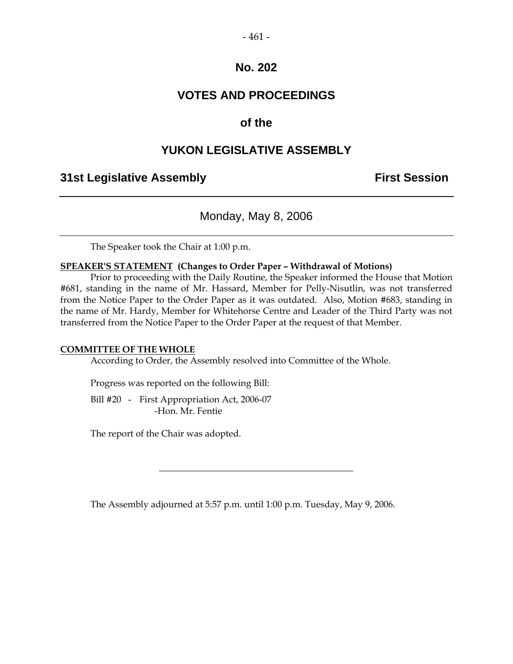#### $-461-$

### **No. 202**

### **VOTES AND PROCEEDINGS**

### **of the**

### **YUKON LEGISLATIVE ASSEMBLY**

### **31st Legislative Assembly First Session**

Monday, May 8, 2006

The Speaker took the Chair at 1:00 p.m.

#### **SPEAKER'S STATEMENT (Changes to Order Paper – Withdrawal of Motions)**

 Prior to proceeding with the Daily Routine, the Speaker informed the House that Motion #681, standing in the name of Mr. Hassard, Member for Pelly-Nisutlin, was not transferred from the Notice Paper to the Order Paper as it was outdated. Also, Motion #683, standing in the name of Mr. Hardy, Member for Whitehorse Centre and Leader of the Third Party was not transferred from the Notice Paper to the Order Paper at the request of that Member.

#### **COMMITTEE OF THE WHOLE**

According to Order, the Assembly resolved into Committee of the Whole.

Progress was reported on the following Bill:

 Bill #20 - First Appropriation Act, 2006-07 -Hon. Mr. Fentie

The report of the Chair was adopted.

The Assembly adjourned at 5:57 p.m. until 1:00 p.m. Tuesday, May 9, 2006.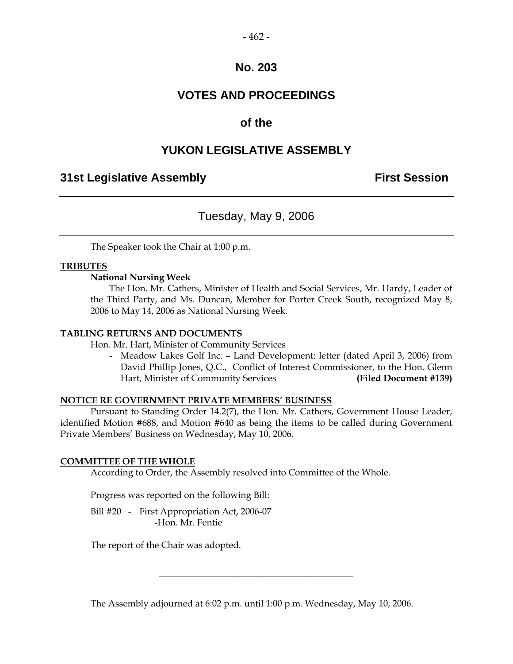#### $-462-$

### **No. 203**

### **VOTES AND PROCEEDINGS**

### **of the**

### **YUKON LEGISLATIVE ASSEMBLY**

### **31st Legislative Assembly First Session**

### Tuesday, May 9, 2006

The Speaker took the Chair at 1:00 p.m.

#### **TRIBUTES**

#### **National Nursing Week**

 The Hon. Mr. Cathers, Minister of Health and Social Services, Mr. Hardy, Leader of the Third Party, and Ms. Duncan, Member for Porter Creek South, recognized May 8, 2006 to May 14, 2006 as National Nursing Week.

#### **TABLING RETURNS AND DOCUMENTS**

Hon. Mr. Hart, Minister of Community Services

 - Meadow Lakes Golf Inc. – Land Development: letter (dated April 3, 2006) from David Phillip Jones, Q.C., Conflict of Interest Commissioner, to the Hon. Glenn Hart, Minister of Community Services **(Filed Document #139)** 

#### **NOTICE RE GOVERNMENT PRIVATE MEMBERS' BUSINESS**

 Pursuant to Standing Order 14.2(7), the Hon. Mr. Cathers, Government House Leader, identified Motion #688, and Motion #640 as being the items to be called during Government Private Members' Business on Wednesday, May 10, 2006.

#### **COMMITTEE OF THE WHOLE**

According to Order, the Assembly resolved into Committee of the Whole.

Progress was reported on the following Bill:

 Bill #20 - First Appropriation Act, 2006-07 -Hon. Mr. Fentie

The report of the Chair was adopted.

The Assembly adjourned at 6:02 p.m. until 1:00 p.m. Wednesday, May 10, 2006.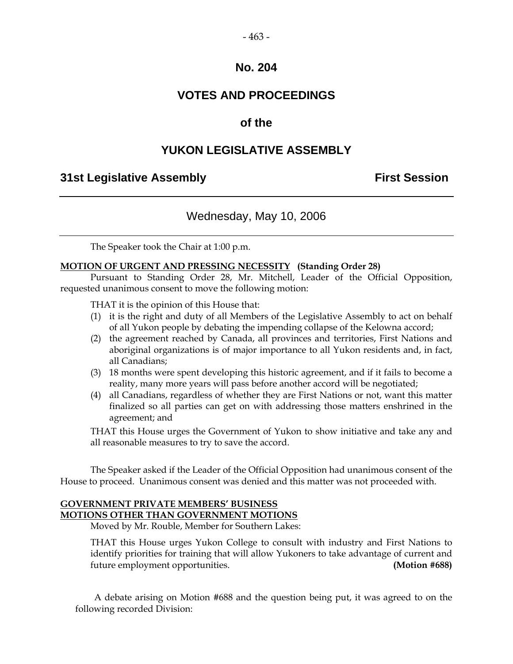#### $-463-$

### **No. 204**

### **VOTES AND PROCEEDINGS**

### **of the**

### **YUKON LEGISLATIVE ASSEMBLY**

### **31st Legislative Assembly First Session**

### Wednesday, May 10, 2006

The Speaker took the Chair at 1:00 p.m.

#### **MOTION OF URGENT AND PRESSING NECESSITY (Standing Order 28)**

 Pursuant to Standing Order 28, Mr. Mitchell, Leader of the Official Opposition, requested unanimous consent to move the following motion:

THAT it is the opinion of this House that:

- (1) it is the right and duty of all Members of the Legislative Assembly to act on behalf of all Yukon people by debating the impending collapse of the Kelowna accord;
- (2) the agreement reached by Canada, all provinces and territories, First Nations and aboriginal organizations is of major importance to all Yukon residents and, in fact, all Canadians;
- (3) 18 months were spent developing this historic agreement, and if it fails to become a reality, many more years will pass before another accord will be negotiated;
- (4) all Canadians, regardless of whether they are First Nations or not, want this matter finalized so all parties can get on with addressing those matters enshrined in the agreement; and

 THAT this House urges the Government of Yukon to show initiative and take any and all reasonable measures to try to save the accord.

 The Speaker asked if the Leader of the Official Opposition had unanimous consent of the House to proceed. Unanimous consent was denied and this matter was not proceeded with.

#### **GOVERNMENT PRIVATE MEMBERS' BUSINESS MOTIONS OTHER THAN GOVERNMENT MOTIONS**

Moved by Mr. Rouble, Member for Southern Lakes:

 THAT this House urges Yukon College to consult with industry and First Nations to identify priorities for training that will allow Yukoners to take advantage of current and future employment opportunities. **(Motion #688)** 

 A debate arising on Motion #688 and the question being put, it was agreed to on the following recorded Division: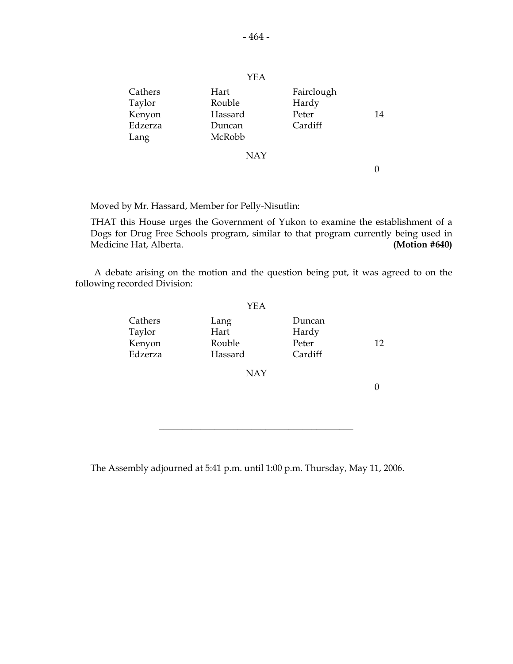| Cathers<br>Taylor<br>Kenyon<br>Edzerza<br>Lang | Hart<br>Rouble<br>Hassard<br>Duncan<br>McRobb | Fairclough<br>Hardy<br>Peter<br>Cardiff | 14 |
|------------------------------------------------|-----------------------------------------------|-----------------------------------------|----|
|                                                | <b>NAY</b>                                    |                                         |    |
|                                                |                                               |                                         |    |

Moved by Mr. Hassard, Member for Pelly-Nisutlin:

 THAT this House urges the Government of Yukon to examine the establishment of a Dogs for Drug Free Schools program, similar to that program currently being used in Medicine Hat, Alberta. **(Motion #640)** 

 A debate arising on the motion and the question being put, it was agreed to on the following recorded Division:

|                                        | YEA                               |                                     |    |
|----------------------------------------|-----------------------------------|-------------------------------------|----|
| Cathers<br>Taylor<br>Kenyon<br>Edzerza | Lang<br>Hart<br>Rouble<br>Hassard | Duncan<br>Hardy<br>Peter<br>Cardiff | 12 |
|                                        | <b>NAY</b>                        |                                     |    |

\_\_\_\_\_\_\_\_\_\_\_\_\_\_\_\_\_\_\_\_\_\_\_\_\_\_\_\_\_\_\_\_\_\_\_\_\_\_\_\_\_\_

The Assembly adjourned at 5:41 p.m. until 1:00 p.m. Thursday, May 11, 2006.

YEA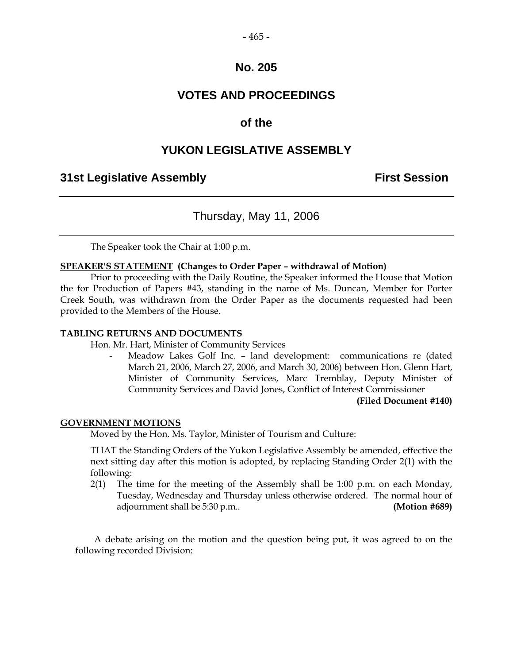#### $-465-$

### **No. 205**

### **VOTES AND PROCEEDINGS**

### **of the**

### **YUKON LEGISLATIVE ASSEMBLY**

### **31st Legislative Assembly First Session**

### Thursday, May 11, 2006

The Speaker took the Chair at 1:00 p.m.

#### **SPEAKER'S STATEMENT (Changes to Order Paper – withdrawal of Motion)**

 Prior to proceeding with the Daily Routine, the Speaker informed the House that Motion the for Production of Papers #43, standing in the name of Ms. Duncan, Member for Porter Creek South, was withdrawn from the Order Paper as the documents requested had been provided to the Members of the House.

#### **TABLING RETURNS AND DOCUMENTS**

Hon. Mr. Hart, Minister of Community Services

Meadow Lakes Golf Inc. - land development: communications re (dated March 21, 2006, March 27, 2006, and March 30, 2006) between Hon. Glenn Hart, Minister of Community Services, Marc Tremblay, Deputy Minister of Community Services and David Jones, Conflict of Interest Commissioner

**(Filed Document #140)** 

#### **GOVERNMENT MOTIONS**

Moved by the Hon. Ms. Taylor, Minister of Tourism and Culture:

 THAT the Standing Orders of the Yukon Legislative Assembly be amended, effective the next sitting day after this motion is adopted, by replacing Standing Order 2(1) with the following:

 2(1) The time for the meeting of the Assembly shall be 1:00 p.m. on each Monday, Tuesday, Wednesday and Thursday unless otherwise ordered. The normal hour of adjournment shall be 5:30 p.m.. **(Motion #689)** 

 A debate arising on the motion and the question being put, it was agreed to on the following recorded Division: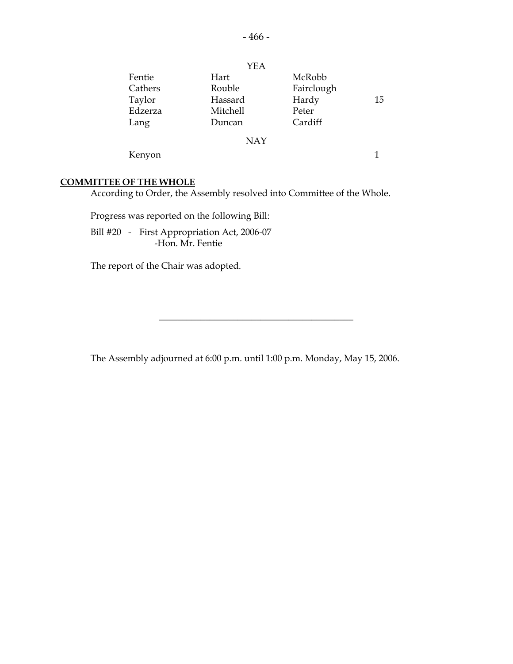|         | YEA        |            |    |
|---------|------------|------------|----|
| Fentie  | Hart       | McRobb     |    |
| Cathers | Rouble     | Fairclough |    |
| Taylor  | Hassard    | Hardy      | 15 |
| Edzerza | Mitchell   | Peter      |    |
| Lang    | Duncan     | Cardiff    |    |
|         | <b>NAY</b> |            |    |
| Kenyon  |            |            |    |

#### **COMMITTEE OF THE WHOLE**

According to Order, the Assembly resolved into Committee of the Whole.

Progress was reported on the following Bill:

 Bill #20 - First Appropriation Act, 2006-07 -Hon. Mr. Fentie

The report of the Chair was adopted.

The Assembly adjourned at 6:00 p.m. until 1:00 p.m. Monday, May 15, 2006.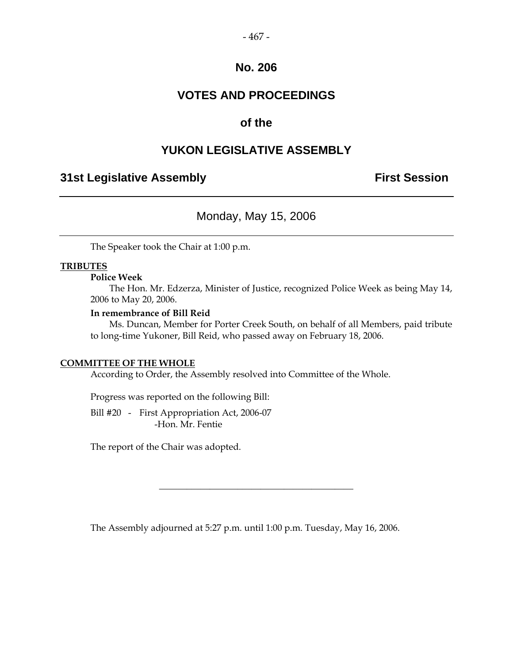#### $-467-$

### **No. 206**

## **VOTES AND PROCEEDINGS**

### **of the**

### **YUKON LEGISLATIVE ASSEMBLY**

### **31st Legislative Assembly The Contract Session**

### Monday, May 15, 2006

The Speaker took the Chair at 1:00 p.m.

#### **TRIBUTES**

#### **Police Week**

 The Hon. Mr. Edzerza, Minister of Justice, recognized Police Week as being May 14, 2006 to May 20, 2006.

#### **In remembrance of Bill Reid**

 Ms. Duncan, Member for Porter Creek South, on behalf of all Members, paid tribute to long-time Yukoner, Bill Reid, who passed away on February 18, 2006.

#### **COMMITTEE OF THE WHOLE**

According to Order, the Assembly resolved into Committee of the Whole.

Progress was reported on the following Bill:

 Bill #20 - First Appropriation Act, 2006-07 -Hon. Mr. Fentie

The report of the Chair was adopted.

The Assembly adjourned at 5:27 p.m. until 1:00 p.m. Tuesday, May 16, 2006.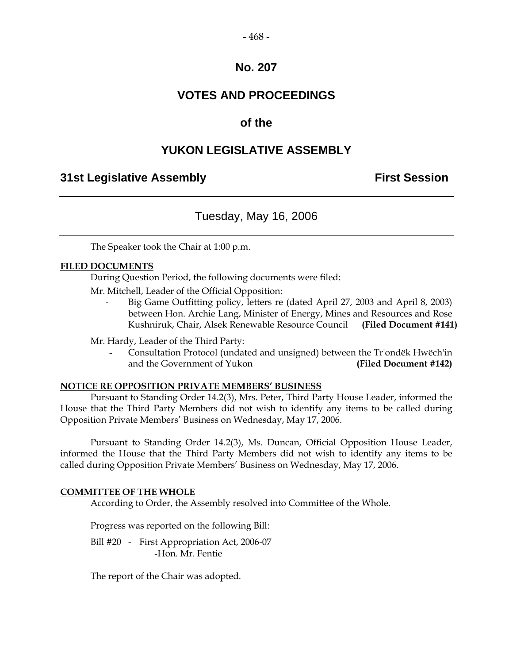#### $-468-$

### **No. 207**

### **VOTES AND PROCEEDINGS**

### **of the**

### **YUKON LEGISLATIVE ASSEMBLY**

### **31st Legislative Assembly First Session**

### Tuesday, May 16, 2006

The Speaker took the Chair at 1:00 p.m.

#### **FILED DOCUMENTS**

During Question Period, the following documents were filed:

Mr. Mitchell, Leader of the Official Opposition:

Big Game Outfitting policy, letters re (dated April 27, 2003 and April 8, 2003) between Hon. Archie Lang, Minister of Energy, Mines and Resources and Rose Kushniruk, Chair, Alsek Renewable Resource Council **(Filed Document #141)** 

Mr. Hardy, Leader of the Third Party:

 - Consultation Protocol (undated and unsigned) between the Tr'ondëk Hwëch'in and the Government of Yukon **(Filed Document #142)** 

#### **NOTICE RE OPPOSITION PRIVATE MEMBERS' BUSINESS**

 Pursuant to Standing Order 14.2(3), Mrs. Peter, Third Party House Leader, informed the House that the Third Party Members did not wish to identify any items to be called during Opposition Private Members' Business on Wednesday, May 17, 2006.

 Pursuant to Standing Order 14.2(3), Ms. Duncan, Official Opposition House Leader, informed the House that the Third Party Members did not wish to identify any items to be called during Opposition Private Members' Business on Wednesday, May 17, 2006.

#### **COMMITTEE OF THE WHOLE**

According to Order, the Assembly resolved into Committee of the Whole.

Progress was reported on the following Bill:

Bill #20 - First Appropriation Act, 2006-07 -Hon. Mr. Fentie

The report of the Chair was adopted.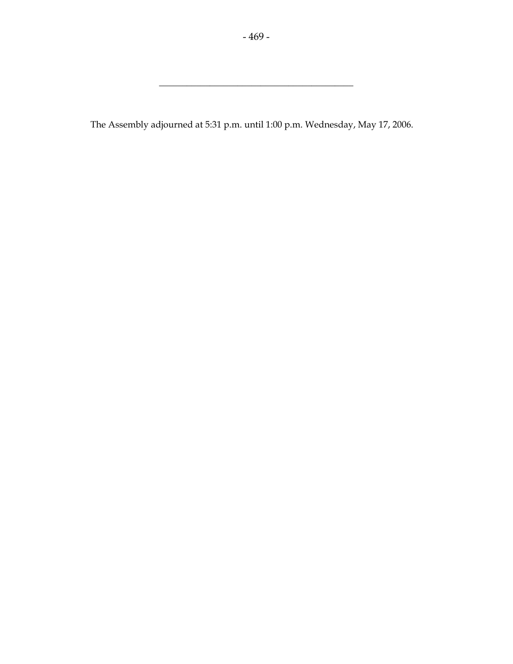\_\_\_\_\_\_\_\_\_\_\_\_\_\_\_\_\_\_\_\_\_\_\_\_\_\_\_\_\_\_\_\_\_\_\_\_\_\_\_\_\_\_

The Assembly adjourned at 5:31 p.m. until 1:00 p.m. Wednesday, May 17, 2006.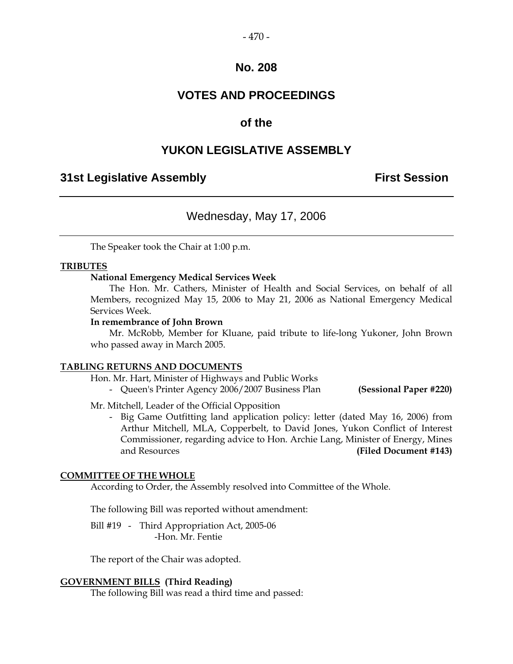#### $-470-$

### **No. 208**

### **VOTES AND PROCEEDINGS**

### **of the**

### **YUKON LEGISLATIVE ASSEMBLY**

### **31st Legislative Assembly First Session**

### Wednesday, May 17, 2006

The Speaker took the Chair at 1:00 p.m.

#### **TRIBUTES**

#### **National Emergency Medical Services Week**

 The Hon. Mr. Cathers, Minister of Health and Social Services, on behalf of all Members, recognized May 15, 2006 to May 21, 2006 as National Emergency Medical Services Week.

#### **In remembrance of John Brown**

 Mr. McRobb, Member for Kluane, paid tribute to life-long Yukoner, John Brown who passed away in March 2005.

#### **TABLING RETURNS AND DOCUMENTS**

Hon. Mr. Hart, Minister of Highways and Public Works

- Queen's Printer Agency 2006/2007 Business Plan **(Sessional Paper #220)** 

Mr. Mitchell, Leader of the Official Opposition

 - Big Game Outfitting land application policy: letter (dated May 16, 2006) from Arthur Mitchell, MLA, Copperbelt, to David Jones, Yukon Conflict of Interest Commissioner, regarding advice to Hon. Archie Lang, Minister of Energy, Mines and Resources **(Filed Document #143)** 

#### **COMMITTEE OF THE WHOLE**

According to Order, the Assembly resolved into Committee of the Whole.

The following Bill was reported without amendment:

 Bill #19 - Third Appropriation Act, 2005-06 -Hon. Mr. Fentie

The report of the Chair was adopted.

#### **GOVERNMENT BILLS (Third Reading)**

The following Bill was read a third time and passed: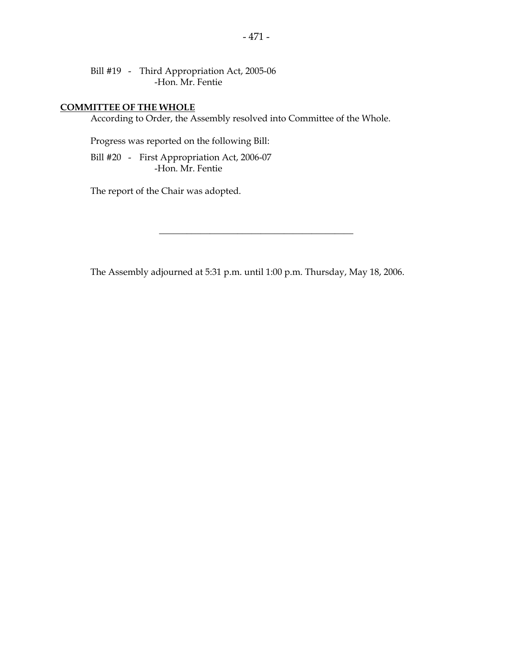Bill #19 - Third Appropriation Act, 2005-06 -Hon. Mr. Fentie

### **COMMITTEE OF THE WHOLE**

According to Order, the Assembly resolved into Committee of the Whole.

Progress was reported on the following Bill:

 Bill #20 - First Appropriation Act, 2006-07 -Hon. Mr. Fentie

The report of the Chair was adopted.

The Assembly adjourned at 5:31 p.m. until 1:00 p.m. Thursday, May 18, 2006.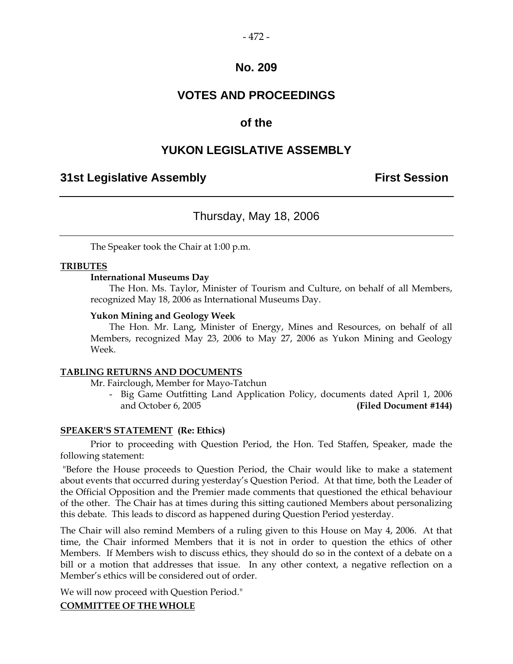### **No. 209**

### **VOTES AND PROCEEDINGS**

### **of the**

### **YUKON LEGISLATIVE ASSEMBLY**

### **31st Legislative Assembly First Session**

### Thursday, May 18, 2006

The Speaker took the Chair at 1:00 p.m.

#### **TRIBUTES**

#### **International Museums Day**

 The Hon. Ms. Taylor, Minister of Tourism and Culture, on behalf of all Members, recognized May 18, 2006 as International Museums Day.

#### **Yukon Mining and Geology Week**

 The Hon. Mr. Lang, Minister of Energy, Mines and Resources, on behalf of all Members, recognized May 23, 2006 to May 27, 2006 as Yukon Mining and Geology Week.

#### **TABLING RETURNS AND DOCUMENTS**

Mr. Fairclough, Member for Mayo-Tatchun

 - Big Game Outfitting Land Application Policy, documents dated April 1, 2006 and October 6, 2005 **(Filed Document #144)** 

#### **SPEAKER'S STATEMENT (Re: Ethics)**

 Prior to proceeding with Question Period, the Hon. Ted Staffen, Speaker, made the following statement:

 "Before the House proceeds to Question Period, the Chair would like to make a statement about events that occurred during yesterday's Question Period. At that time, both the Leader of the Official Opposition and the Premier made comments that questioned the ethical behaviour of the other. The Chair has at times during this sitting cautioned Members about personalizing this debate. This leads to discord as happened during Question Period yesterday.

The Chair will also remind Members of a ruling given to this House on May 4, 2006. At that time, the Chair informed Members that it is not in order to question the ethics of other Members. If Members wish to discuss ethics, they should do so in the context of a debate on a bill or a motion that addresses that issue. In any other context, a negative reflection on a Member's ethics will be considered out of order.

We will now proceed with Question Period."

#### **COMMITTEE OF THE WHOLE**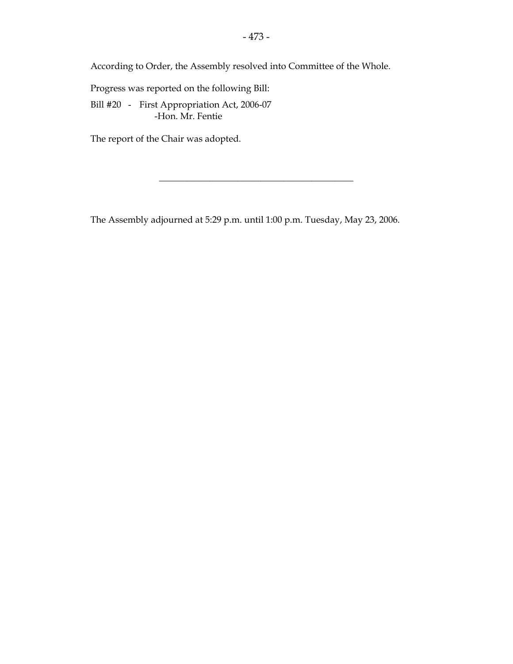Progress was reported on the following Bill:

 Bill #20 - First Appropriation Act, 2006-07 -Hon. Mr. Fentie

The report of the Chair was adopted.

The Assembly adjourned at 5:29 p.m. until 1:00 p.m. Tuesday, May 23, 2006.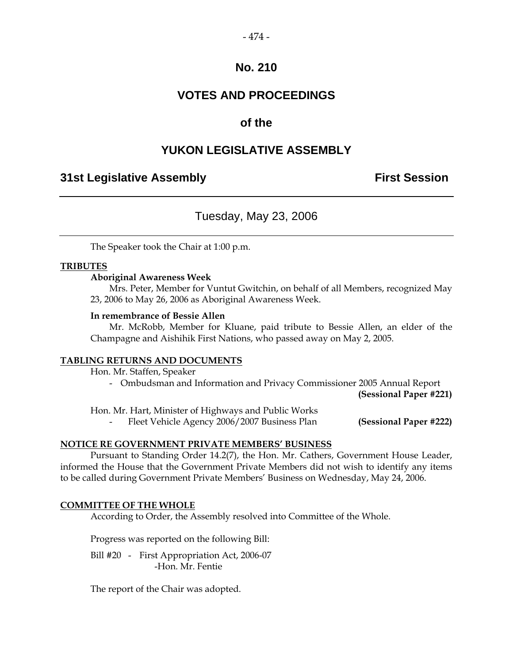#### $-474-$

### **No. 210**

### **VOTES AND PROCEEDINGS**

### **of the**

### **YUKON LEGISLATIVE ASSEMBLY**

### **31st Legislative Assembly First Session**

### Tuesday, May 23, 2006

The Speaker took the Chair at 1:00 p.m.

#### **TRIBUTES**

#### **Aboriginal Awareness Week**

 Mrs. Peter, Member for Vuntut Gwitchin, on behalf of all Members, recognized May 23, 2006 to May 26, 2006 as Aboriginal Awareness Week.

#### **In remembrance of Bessie Allen**

 Mr. McRobb, Member for Kluane, paid tribute to Bessie Allen, an elder of the Champagne and Aishihik First Nations, who passed away on May 2, 2005.

#### **TABLING RETURNS AND DOCUMENTS**

Hon. Mr. Staffen, Speaker

- Ombudsman and Information and Privacy Commissioner 2005 Annual Report

**(Sessional Paper #221)** 

Hon. Mr. Hart, Minister of Highways and Public Works

Fleet Vehicle Agency 2006/2007 Business Plan **(Sessional Paper #222)** 

#### **NOTICE RE GOVERNMENT PRIVATE MEMBERS' BUSINESS**

 Pursuant to Standing Order 14.2(7), the Hon. Mr. Cathers, Government House Leader, informed the House that the Government Private Members did not wish to identify any items to be called during Government Private Members' Business on Wednesday, May 24, 2006.

#### **COMMITTEE OF THE WHOLE**

According to Order, the Assembly resolved into Committee of the Whole.

Progress was reported on the following Bill:

 Bill #20 - First Appropriation Act, 2006-07 -Hon. Mr. Fentie

The report of the Chair was adopted.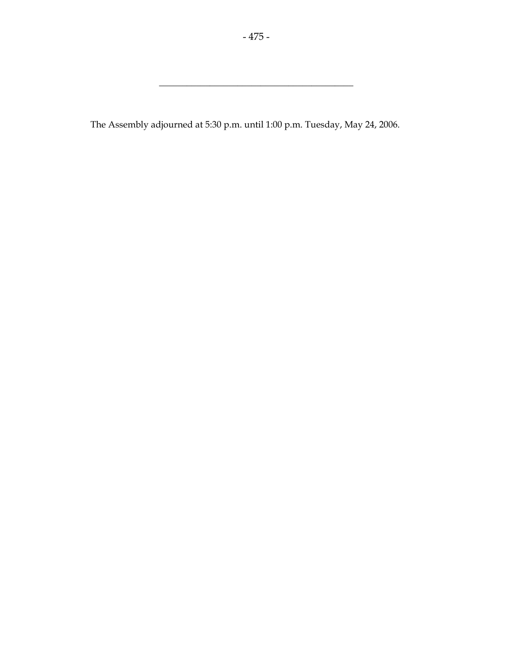\_\_\_\_\_\_\_\_\_\_\_\_\_\_\_\_\_\_\_\_\_\_\_\_\_\_\_\_\_\_\_\_\_\_\_\_\_\_\_\_\_\_

The Assembly adjourned at 5:30 p.m. until 1:00 p.m. Tuesday, May 24, 2006.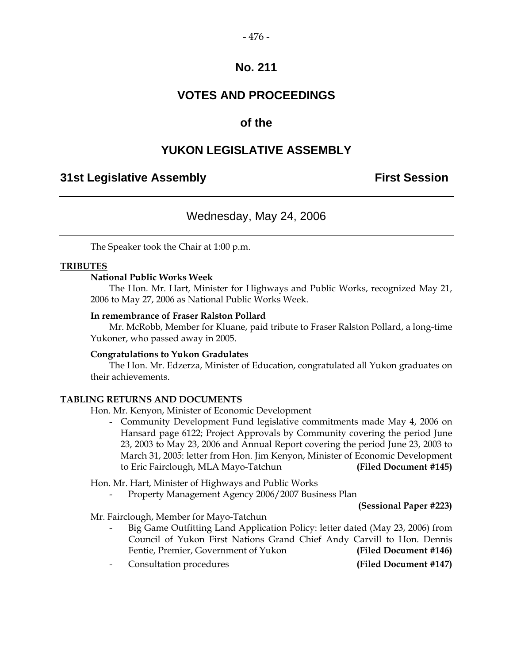### **No. 211**

### **VOTES AND PROCEEDINGS**

### **of the**

### **YUKON LEGISLATIVE ASSEMBLY**

### **31st Legislative Assembly First Session**

### Wednesday, May 24, 2006

The Speaker took the Chair at 1:00 p.m.

#### **TRIBUTES**

#### **National Public Works Week**

 The Hon. Mr. Hart, Minister for Highways and Public Works, recognized May 21, 2006 to May 27, 2006 as National Public Works Week.

#### **In remembrance of Fraser Ralston Pollard**

 Mr. McRobb, Member for Kluane, paid tribute to Fraser Ralston Pollard, a long-time Yukoner, who passed away in 2005.

#### **Congratulations to Yukon Gradulates**

 The Hon. Mr. Edzerza, Minister of Education, congratulated all Yukon graduates on their achievements.

#### **TABLING RETURNS AND DOCUMENTS**

- Hon. Mr. Kenyon, Minister of Economic Development
	- Community Development Fund legislative commitments made May 4, 2006 on Hansard page 6122; Project Approvals by Community covering the period June 23, 2003 to May 23, 2006 and Annual Report covering the period June 23, 2003 to March 31, 2005: letter from Hon. Jim Kenyon, Minister of Economic Development to Eric Fairclough, MLA Mayo-Tatchun **(Filed Document #145)**

Hon. Mr. Hart, Minister of Highways and Public Works

- Property Management Agency 2006/2007 Business Plan

**(Sessional Paper #223)** 

Mr. Fairclough, Member for Mayo-Tatchun

- Big Game Outfitting Land Application Policy: letter dated (May 23, 2006) from Council of Yukon First Nations Grand Chief Andy Carvill to Hon. Dennis Fentie, Premier, Government of Yukon **(Filed Document #146)**
- Consultation procedures **(Filed Document #147)**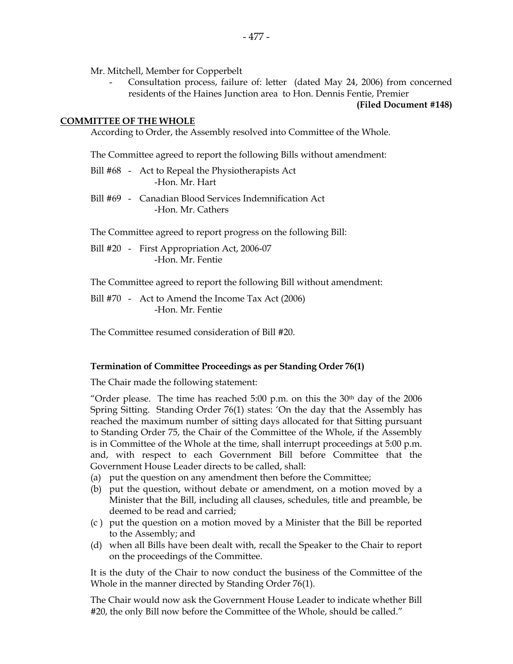Mr. Mitchell, Member for Copperbelt

Consultation process, failure of: letter (dated May 24, 2006) from concerned residents of the Haines Junction area to Hon. Dennis Fentie, Premier

#### **(Filed Document #148)**

#### **COMMITTEE OF THE WHOLE**

According to Order, the Assembly resolved into Committee of the Whole.

The Committee agreed to report the following Bills without amendment:

- Bill #68 Act to Repeal the Physiotherapists Act -Hon. Mr. Hart
- Bill #69 Canadian Blood Services Indemnification Act -Hon. Mr. Cathers

The Committee agreed to report progress on the following Bill:

 Bill #20 - First Appropriation Act, 2006-07 -Hon. Mr. Fentie

The Committee agreed to report the following Bill without amendment:

 Bill #70 - Act to Amend the Income Tax Act (2006) -Hon. Mr. Fentie

The Committee resumed consideration of Bill #20.

#### **Termination of Committee Proceedings as per Standing Order 76(1)**

The Chair made the following statement:

"Order please. The time has reached  $5:00$  p.m. on this the  $30<sup>th</sup>$  day of the  $2006$ Spring Sitting. Standing Order 76(1) states: 'On the day that the Assembly has reached the maximum number of sitting days allocated for that Sitting pursuant to Standing Order 75, the Chair of the Committee of the Whole, if the Assembly is in Committee of the Whole at the time, shall interrupt proceedings at 5:00 p.m. and, with respect to each Government Bill before Committee that the Government House Leader directs to be called, shall:

- (a) put the question on any amendment then before the Committee;
- (b) put the question, without debate or amendment, on a motion moved by a Minister that the Bill, including all clauses, schedules, title and preamble, be deemed to be read and carried;
- (c ) put the question on a motion moved by a Minister that the Bill be reported to the Assembly; and
- (d) when all Bills have been dealt with, recall the Speaker to the Chair to report on the proceedings of the Committee.

It is the duty of the Chair to now conduct the business of the Committee of the Whole in the manner directed by Standing Order 76(1).

The Chair would now ask the Government House Leader to indicate whether Bill #20, the only Bill now before the Committee of the Whole, should be called."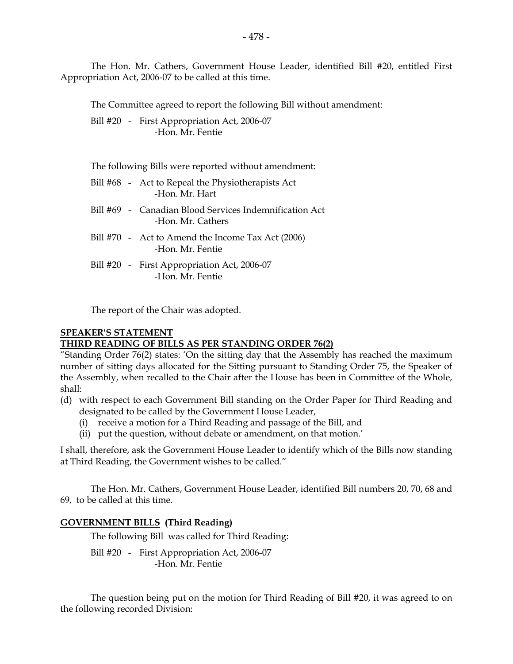The Hon. Mr. Cathers, Government House Leader, identified Bill #20, entitled First Appropriation Act, 2006-07 to be called at this time.

The Committee agreed to report the following Bill without amendment:

Bill #20 - First Appropriation Act, 2006-07 -Hon. Mr. Fentie

The following Bills were reported without amendment:

- Bill #68 Act to Repeal the Physiotherapists Act -Hon. Mr. Hart
- Bill #69 Canadian Blood Services Indemnification Act -Hon. Mr. Cathers
- Bill #70 Act to Amend the Income Tax Act (2006) -Hon. Mr. Fentie
- Bill #20 First Appropriation Act, 2006-07 -Hon. Mr. Fentie

The report of the Chair was adopted.

#### **SPEAKER'S STATEMENT**

#### **THIRD READING OF BILLS AS PER STANDING ORDER 76(2)**

"Standing Order 76(2) states: 'On the sitting day that the Assembly has reached the maximum number of sitting days allocated for the Sitting pursuant to Standing Order 75, the Speaker of the Assembly, when recalled to the Chair after the House has been in Committee of the Whole, shall:

- (d) with respect to each Government Bill standing on the Order Paper for Third Reading and designated to be called by the Government House Leader,
	- (i) receive a motion for a Third Reading and passage of the Bill, and
	- (ii) put the question, without debate or amendment, on that motion.'

I shall, therefore, ask the Government House Leader to identify which of the Bills now standing at Third Reading, the Government wishes to be called."

The Hon. Mr. Cathers, Government House Leader, identified Bill numbers 20, 70, 68 and 69, to be called at this time.

#### **GOVERNMENT BILLS (Third Reading)**

The following Bill was called for Third Reading:

 Bill #20 - First Appropriation Act, 2006-07 -Hon. Mr. Fentie

 The question being put on the motion for Third Reading of Bill #20, it was agreed to on the following recorded Division: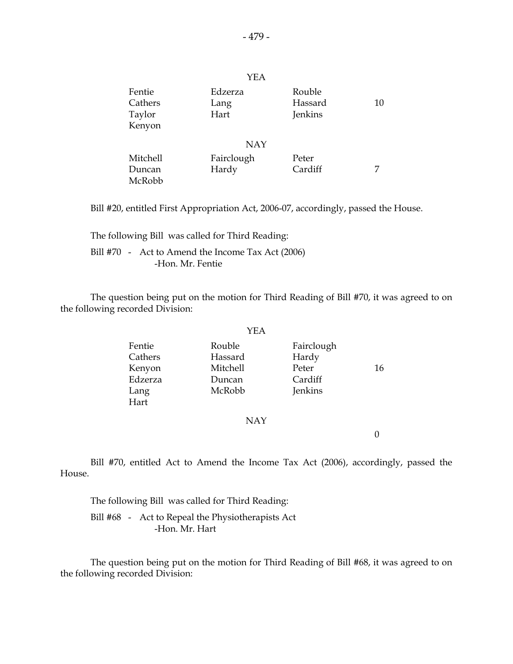|                                       | 1 L L                   |                              |    |
|---------------------------------------|-------------------------|------------------------------|----|
| Fentie<br>Cathers<br>Taylor<br>Kenyon | Edzerza<br>Lang<br>Hart | Rouble<br>Hassard<br>Jenkins | 10 |
|                                       |                         |                              |    |
|                                       | <b>NAY</b>              |                              |    |
| <b>Mitchell</b>                       | Fairclough              | Peter                        |    |
| Duncan                                | Hardy                   | Cardiff                      | 7  |
| McRobb                                |                         |                              |    |

Bill #20, entitled First Appropriation Act, 2006-07, accordingly, passed the House.

 The following Bill was called for Third Reading: Bill #70 - Act to Amend the Income Tax Act (2006) -Hon. Mr. Fentie

 The question being put on the motion for Third Reading of Bill #70, it was agreed to on the following recorded Division:

|         | YEA      |            |    |
|---------|----------|------------|----|
| Fentie  | Rouble   | Fairclough |    |
| Cathers | Hassard  | Hardy      |    |
| Kenyon  | Mitchell | Peter      | 16 |
| Edzerza | Duncan   | Cardiff    |    |
| Lang    | McRobb   | Jenkins    |    |
| Hart    |          |            |    |

#### NAY

0

 Bill #70, entitled Act to Amend the Income Tax Act (2006), accordingly, passed the House.

 The following Bill was called for Third Reading: Bill #68 - Act to Repeal the Physiotherapists Act -Hon. Mr. Hart

 The question being put on the motion for Third Reading of Bill #68, it was agreed to on the following recorded Division:

YEA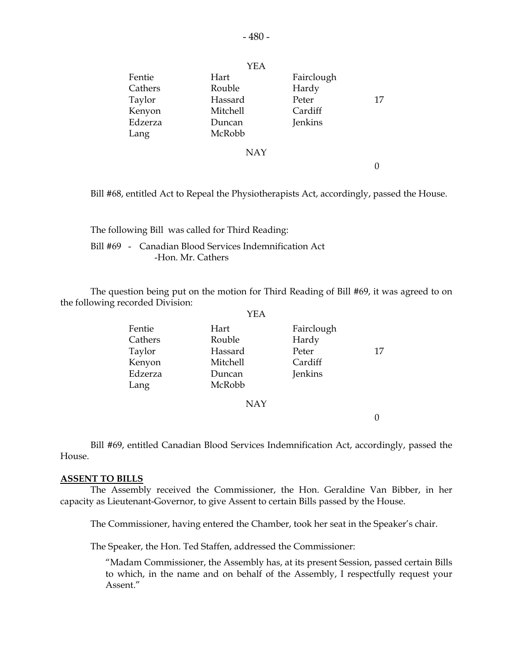|         | YEA             |            |    |
|---------|-----------------|------------|----|
| Fentie  | Hart            | Fairclough |    |
| Cathers | Rouble          | Hardy      |    |
| Taylor  | Hassard         | Peter      | 17 |
| Kenyon  | <b>Mitchell</b> | Cardiff    |    |
| Edzerza | Duncan          | Jenkins    |    |
| Lang    | McRobb          |            |    |
|         | <b>NAY</b>      |            |    |
|         |                 |            |    |
|         |                 |            |    |

Bill #68, entitled Act to Repeal the Physiotherapists Act, accordingly, passed the House.

 The following Bill was called for Third Reading: Bill #69 - Canadian Blood Services Indemnification Act -Hon. Mr. Cathers

 The question being put on the motion for Third Reading of Bill #69, it was agreed to on the following recorded Division:  $Y<sub>ET</sub>$ 

|         | I EA       |            |    |
|---------|------------|------------|----|
| Fentie  | Hart       | Fairclough |    |
| Cathers | Rouble     | Hardy      |    |
| Taylor  | Hassard    | Peter      | 17 |
| Kenyon  | Mitchell   | Cardiff    |    |
| Edzerza | Duncan     | Jenkins    |    |
| Lang    | McRobb     |            |    |
|         | <b>NAY</b> |            |    |

0

 Bill #69, entitled Canadian Blood Services Indemnification Act, accordingly, passed the House.

#### **ASSENT TO BILLS**

 The Assembly received the Commissioner, the Hon. Geraldine Van Bibber, in her capacity as Lieutenant-Governor, to give Assent to certain Bills passed by the House.

The Commissioner, having entered the Chamber, took her seat in the Speaker's chair.

The Speaker, the Hon. Ted Staffen, addressed the Commissioner:

 "Madam Commissioner, the Assembly has, at its present Session, passed certain Bills to which, in the name and on behalf of the Assembly, I respectfully request your Assent."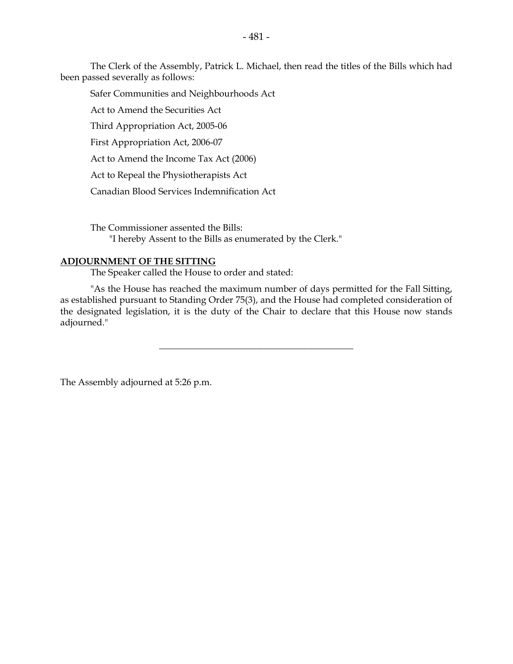The Clerk of the Assembly, Patrick L. Michael, then read the titles of the Bills which had been passed severally as follows:

Safer Communities and Neighbourhoods Act

Act to Amend the Securities Act

Third Appropriation Act, 2005-06

First Appropriation Act, 2006-07

Act to Amend the Income Tax Act (2006)

Act to Repeal the Physiotherapists Act

Canadian Blood Services Indemnification Act

 The Commissioner assented the Bills: "I hereby Assent to the Bills as enumerated by the Clerk."

#### **ADJOURNMENT OF THE SITTING**

The Speaker called the House to order and stated:

 "As the House has reached the maximum number of days permitted for the Fall Sitting, as established pursuant to Standing Order 75(3), and the House had completed consideration of the designated legislation, it is the duty of the Chair to declare that this House now stands adjourned."

\_\_\_\_\_\_\_\_\_\_\_\_\_\_\_\_\_\_\_\_\_\_\_\_\_\_\_\_\_\_\_\_\_\_\_\_\_\_\_\_\_\_

The Assembly adjourned at 5:26 p.m.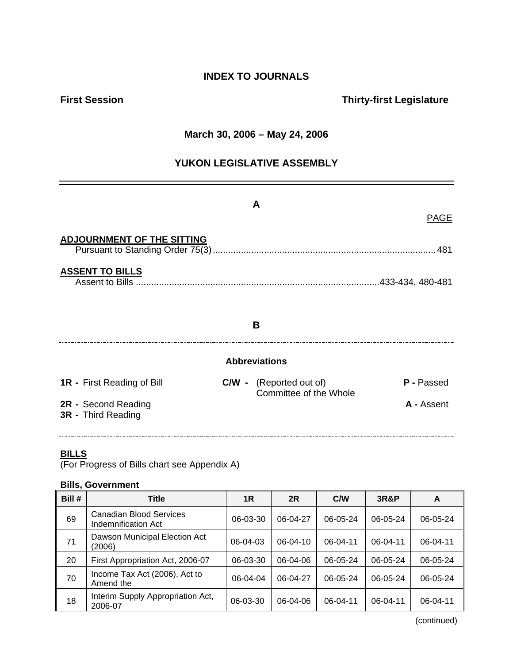### **INDEX TO JOURNALS**

### **First Session Thirty-first Legislature**

### **March 30, 2006 – May 24, 2006**

### **YUKON LEGISLATIVE ASSEMBLY**

|                                           | A                                                        | <b>PAGE</b> |
|-------------------------------------------|----------------------------------------------------------|-------------|
| <b>ADJOURNMENT OF THE SITTING</b>         |                                                          |             |
| <b>ASSENT TO BILLS</b>                    |                                                          |             |
|                                           | B                                                        |             |
|                                           | <b>Abbreviations</b>                                     |             |
| <b>1R</b> - First Reading of Bill         | <b>C/W</b> - (Reported out of)<br>Committee of the Whole | P - Passed  |
| 2R - Second Reading<br>3R - Third Reading |                                                          | A - Assent  |

### **BILLS**

(For Progress of Bills chart see Appendix A)

### **Bills, Government**

| Bill # | <b>Title</b>                                          | 1R       | 2R             | C/W            | 3R&P           | A        |
|--------|-------------------------------------------------------|----------|----------------|----------------|----------------|----------|
| 69     | <b>Canadian Blood Services</b><br>Indemnification Act | 06-03-30 | 06-04-27       | 06-05-24       | 06-05-24       | 06-05-24 |
| 71     | Dawson Municipal Election Act<br>(2006)               | 06-04-03 | $06 - 04 - 10$ | $06 - 04 - 11$ | $06 - 04 - 11$ | 06-04-11 |
| 20     | First Appropriation Act, 2006-07                      | 06-03-30 | 06-04-06       | 06-05-24       | 06-05-24       | 06-05-24 |
| 70     | Income Tax Act (2006), Act to<br>Amend the            | 06-04-04 | 06-04-27       | 06-05-24       | 06-05-24       | 06-05-24 |
| 18     | Interim Supply Appropriation Act,<br>2006-07          | 06-03-30 | 06-04-06       | $06 - 04 - 11$ | 06-04-11       | 06-04-11 |

(continued)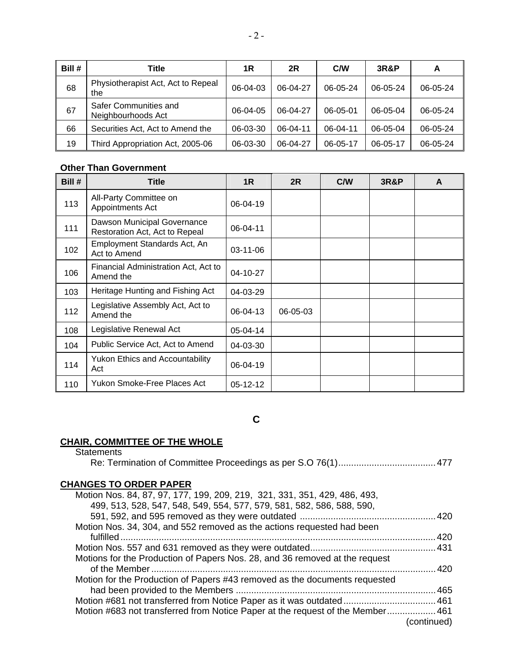| Bill # | Title                                       | 1R       | 2R       | <b>C/W</b> | <b>3R&amp;P</b> | A        |
|--------|---------------------------------------------|----------|----------|------------|-----------------|----------|
| 68     | Physiotherapist Act, Act to Repeal<br>the   | 06-04-03 | 06-04-27 | 06-05-24   | 06-05-24        | 06-05-24 |
| 67     | Safer Communities and<br>Neighbourhoods Act | 06-04-05 | 06-04-27 | 06-05-01   | 06-05-04        | 06-05-24 |
| 66     | Securities Act, Act to Amend the            | 06-03-30 | 06-04-11 | 06-04-11   | 06-05-04        | 06-05-24 |
| 19     | Third Appropriation Act, 2005-06            | 06-03-30 | 06-04-27 | 06-05-17   | 06-05-17        | 06-05-24 |

### **Other Than Government**

| Bill # | <b>Title</b>                                                  | 1 <sub>R</sub> | 2R       | C/W | <b>3R&amp;P</b> | A |
|--------|---------------------------------------------------------------|----------------|----------|-----|-----------------|---|
| 113    | All-Party Committee on<br>Appointments Act                    | 06-04-19       |          |     |                 |   |
| 111    | Dawson Municipal Governance<br>Restoration Act, Act to Repeal | 06-04-11       |          |     |                 |   |
| 102    | Employment Standards Act, An<br>Act to Amend                  | 03-11-06       |          |     |                 |   |
| 106    | Financial Administration Act, Act to<br>Amend the             | 04-10-27       |          |     |                 |   |
| 103    | Heritage Hunting and Fishing Act                              | 04-03-29       |          |     |                 |   |
| 112    | Legislative Assembly Act, Act to<br>Amend the                 | 06-04-13       | 06-05-03 |     |                 |   |
| 108    | Legislative Renewal Act                                       | 05-04-14       |          |     |                 |   |
| 104    | Public Service Act, Act to Amend                              | 04-03-30       |          |     |                 |   |
| 114    | Yukon Ethics and Accountability<br>Act                        | 06-04-19       |          |     |                 |   |
| 110    | Yukon Smoke-Free Places Act                                   | 05-12-12       |          |     |                 |   |

**C** 

#### **CHAIR, COMMITTEE OF THE WHOLE**

**Statements** 

| <b>CHANGES TO ORDER PAPER</b>                                                  |             |
|--------------------------------------------------------------------------------|-------------|
| Motion Nos. 84, 87, 97, 177, 199, 209, 219, 321, 331, 351, 429, 486, 493,      |             |
| 499, 513, 528, 547, 548, 549, 554, 577, 579, 581, 582, 586, 588, 590,          |             |
|                                                                                |             |
| Motion Nos. 34, 304, and 552 removed as the actions requested had been         |             |
|                                                                                |             |
|                                                                                |             |
| Motions for the Production of Papers Nos. 28, and 36 removed at the request    |             |
|                                                                                |             |
| Motion for the Production of Papers #43 removed as the documents requested     |             |
|                                                                                |             |
|                                                                                |             |
| Motion #683 not transferred from Notice Paper at the request of the Member 461 |             |
|                                                                                | (continued) |
|                                                                                |             |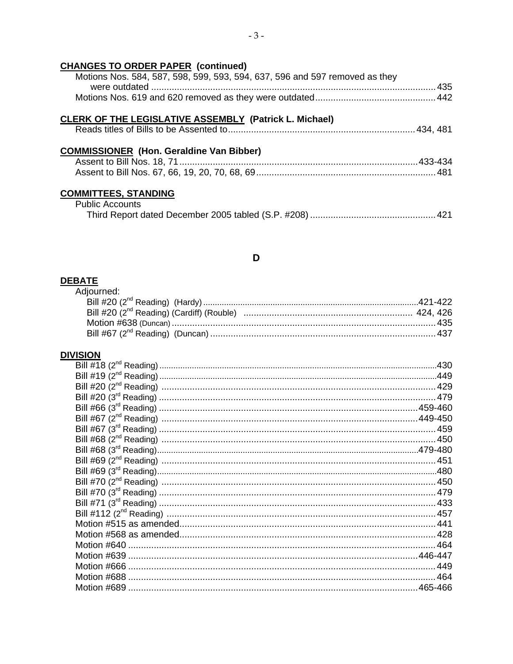### **CHANGES TO ORDER PAPER (continued)**

| Motions Nos. 584, 587, 598, 599, 593, 594, 637, 596 and 597 removed as they |  |  |
|-----------------------------------------------------------------------------|--|--|
|                                                                             |  |  |
|                                                                             |  |  |

### CLERK OF THE LEGISLATIVE ASSEMBLY (Patrick L. Michael)

|--|--|--|--|--|

### **COMMISSIONER** (Hon. Geraldine Van Bibber)

|  | Assent to Bill Nos. 67, 66, 19, 20, 70, 68, 69………………………………………………………………………481 |
|--|------------------------------------------------------------------------------|

# **COMMITTEES, STANDING**<br>Public Accounts

### D

### **DEBATE**

| <u>SAIE</u> |  |
|-------------|--|
| Adjourned:  |  |
|             |  |
|             |  |
|             |  |
|             |  |

#### **DIVISION**

| Motion #688 |  |
|-------------|--|
|             |  |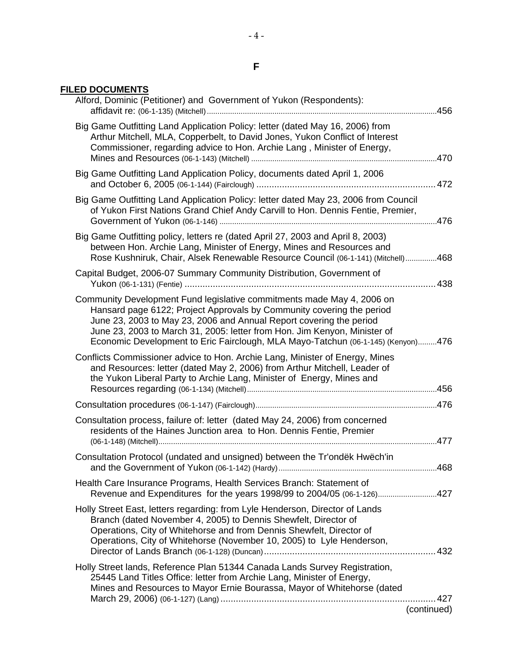### **F**

### **FILED DOCUMENTS**

| Alford, Dominic (Petitioner) and Government of Yukon (Respondents):                                                                                                                                                                                                                                                                                                                     |                     |
|-----------------------------------------------------------------------------------------------------------------------------------------------------------------------------------------------------------------------------------------------------------------------------------------------------------------------------------------------------------------------------------------|---------------------|
| Big Game Outfitting Land Application Policy: letter (dated May 16, 2006) from<br>Arthur Mitchell, MLA, Copperbelt, to David Jones, Yukon Conflict of Interest<br>Commissioner, regarding advice to Hon. Archie Lang, Minister of Energy,                                                                                                                                                |                     |
| Big Game Outfitting Land Application Policy, documents dated April 1, 2006                                                                                                                                                                                                                                                                                                              |                     |
| Big Game Outfitting Land Application Policy: letter dated May 23, 2006 from Council<br>of Yukon First Nations Grand Chief Andy Carvill to Hon. Dennis Fentie, Premier,                                                                                                                                                                                                                  |                     |
| Big Game Outfitting policy, letters re (dated April 27, 2003 and April 8, 2003)<br>between Hon. Archie Lang, Minister of Energy, Mines and Resources and<br>Rose Kushniruk, Chair, Alsek Renewable Resource Council (06-1-141) (Mitchell)468                                                                                                                                            |                     |
| Capital Budget, 2006-07 Summary Community Distribution, Government of                                                                                                                                                                                                                                                                                                                   |                     |
| Community Development Fund legislative commitments made May 4, 2006 on<br>Hansard page 6122; Project Approvals by Community covering the period<br>June 23, 2003 to May 23, 2006 and Annual Report covering the period<br>June 23, 2003 to March 31, 2005: letter from Hon. Jim Kenyon, Minister of<br>Economic Development to Eric Fairclough, MLA Mayo-Tatchun (06-1-145) (Kenyon)476 |                     |
| Conflicts Commissioner advice to Hon. Archie Lang, Minister of Energy, Mines<br>and Resources: letter (dated May 2, 2006) from Arthur Mitchell, Leader of<br>the Yukon Liberal Party to Archie Lang, Minister of Energy, Mines and                                                                                                                                                      |                     |
|                                                                                                                                                                                                                                                                                                                                                                                         |                     |
| Consultation process, failure of: letter (dated May 24, 2006) from concerned<br>residents of the Haines Junction area to Hon. Dennis Fentie, Premier                                                                                                                                                                                                                                    |                     |
|                                                                                                                                                                                                                                                                                                                                                                                         |                     |
| Consultation Protocol (undated and unsigned) between the Tr'ondëk Hwëch'in                                                                                                                                                                                                                                                                                                              |                     |
| Health Care Insurance Programs, Health Services Branch: Statement of<br>Revenue and Expenditures for the years 1998/99 to 2004/05 (06-1-126)427                                                                                                                                                                                                                                         |                     |
| Holly Street East, letters regarding: from Lyle Henderson, Director of Lands<br>Branch (dated November 4, 2005) to Dennis Shewfelt, Director of<br>Operations, City of Whitehorse and from Dennis Shewfelt, Director of<br>Operations, City of Whitehorse (November 10, 2005) to Lyle Henderson,                                                                                        |                     |
| Holly Street lands, Reference Plan 51344 Canada Lands Survey Registration,<br>25445 Land Titles Office: letter from Archie Lang, Minister of Energy,<br>Mines and Resources to Mayor Ernie Bourassa, Mayor of Whitehorse (dated                                                                                                                                                         | .427<br>(continued) |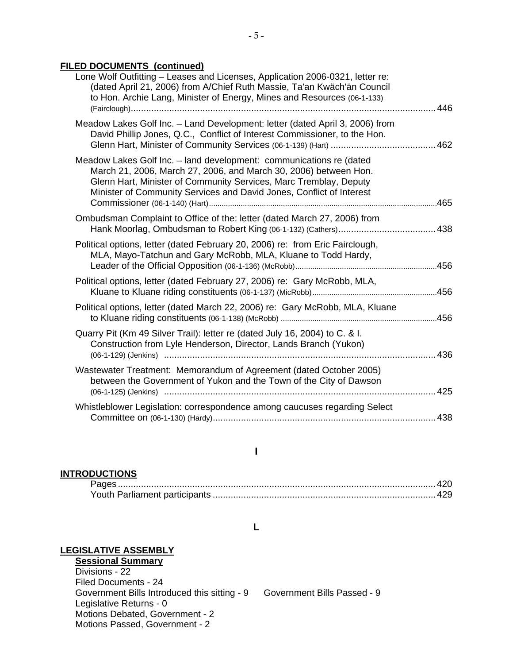### **FILED DOCUMENTS (continued)**

| Lone Wolf Outfitting - Leases and Licenses, Application 2006-0321, letter re:<br>(dated April 21, 2006) from A/Chief Ruth Massie, Ta'an Kwäch'än Council<br>to Hon. Archie Lang, Minister of Energy, Mines and Resources (06-1-133)                                                  |     |
|--------------------------------------------------------------------------------------------------------------------------------------------------------------------------------------------------------------------------------------------------------------------------------------|-----|
| Meadow Lakes Golf Inc. - Land Development: letter (dated April 3, 2006) from<br>David Phillip Jones, Q.C., Conflict of Interest Commissioner, to the Hon.                                                                                                                            |     |
| Meadow Lakes Golf Inc. - land development: communications re (dated<br>March 21, 2006, March 27, 2006, and March 30, 2006) between Hon.<br>Glenn Hart, Minister of Community Services, Marc Tremblay, Deputy<br>Minister of Community Services and David Jones, Conflict of Interest |     |
| Ombudsman Complaint to Office of the: letter (dated March 27, 2006) from                                                                                                                                                                                                             |     |
| Political options, letter (dated February 20, 2006) re: from Eric Fairclough,<br>MLA, Mayo-Tatchun and Gary McRobb, MLA, Kluane to Todd Hardy,                                                                                                                                       |     |
| Political options, letter (dated February 27, 2006) re: Gary McRobb, MLA,                                                                                                                                                                                                            |     |
| Political options, letter (dated March 22, 2006) re: Gary McRobb, MLA, Kluane                                                                                                                                                                                                        |     |
| Quarry Pit (Km 49 Silver Trail): letter re (dated July 16, 2004) to C. & I.<br>Construction from Lyle Henderson, Director, Lands Branch (Yukon)                                                                                                                                      |     |
| Wastewater Treatment: Memorandum of Agreement (dated October 2005)<br>between the Government of Yukon and the Town of the City of Dawson<br>(06-1-125) (Jenkins) ……………………………………………………………………………………………425                                                                              |     |
| Whistleblower Legislation: correspondence among caucuses regarding Select                                                                                                                                                                                                            | 438 |
|                                                                                                                                                                                                                                                                                      |     |

### **I**

### **INTRODUCTIONS**

#### **L**

### **LEGISLATIVE ASSEMBLY**

#### **Sessional Summary** Divisions - 22

 Filed Documents - 24 Government Bills Introduced this sitting - 9 Government Bills Passed - 9 Legislative Returns - 0 Motions Debated, Government - 2 Motions Passed, Government - 2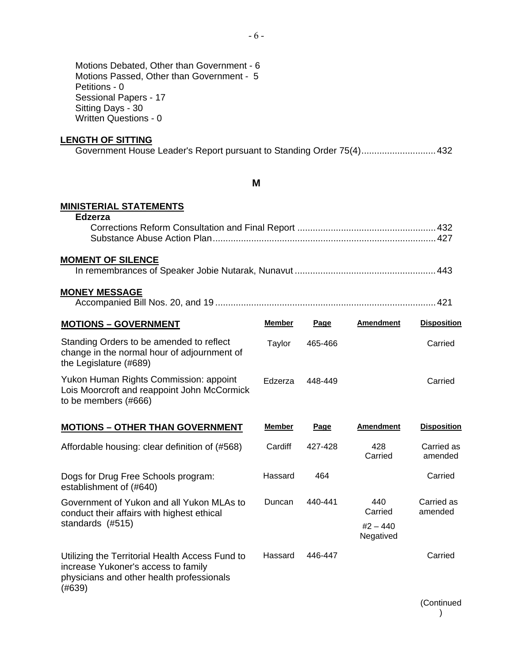### **LENGTH OF SITTING**

|  |  | Government House Leader's Report pursuant to Standing Order 75(4)432 |  |
|--|--|----------------------------------------------------------------------|--|
|--|--|----------------------------------------------------------------------|--|

#### **M**

### **MINISTERIAL STATEMENTS**

| <b>Edzerza</b>                                                                                                    |               |         |                         |                       |
|-------------------------------------------------------------------------------------------------------------------|---------------|---------|-------------------------|-----------------------|
| <b>MOMENT OF SILENCE</b>                                                                                          |               |         |                         |                       |
| <b>MONEY MESSAGE</b>                                                                                              |               |         |                         |                       |
| <b>MOTIONS - GOVERNMENT</b>                                                                                       | <b>Member</b> | Page    | <b>Amendment</b>        | <b>Disposition</b>    |
| Standing Orders to be amended to reflect<br>change in the normal hour of adjournment of<br>the Legislature (#689) | Taylor        | 465-466 |                         | Carried               |
| Yukon Human Rights Commission: appoint<br>Lois Moorcroft and reappoint John McCormick<br>to be members (#666)     | Edzerza       | 448-449 |                         | Carried               |
| <b>MOTIONS - OTHER THAN GOVERNMENT</b>                                                                            | <b>Member</b> | Page    | <b>Amendment</b>        | <b>Disposition</b>    |
| Affordable housing: clear definition of (#568)                                                                    | Cardiff       | 427-428 | 428<br>Carried          | Carried as<br>amended |
| Dogs for Drug Free Schools program:<br>establishment of (#640)                                                    | Hassard       | 464     |                         | Carried               |
| Government of Yukon and all Yukon MLAs to<br>conduct their affairs with highest ethical                           | Duncan        | 440-441 | 440<br>Carried          | Carried as<br>amended |
| standards (#515)                                                                                                  |               |         | $#2 - 440$<br>Negatived |                       |
| Utilizing the Territorial Health Access Fund to<br>increase Yukoner's access to family                            | Hassard       | 446-447 |                         | Carried               |

physicians and other health professionals  $(#639)$ 

> (Continued )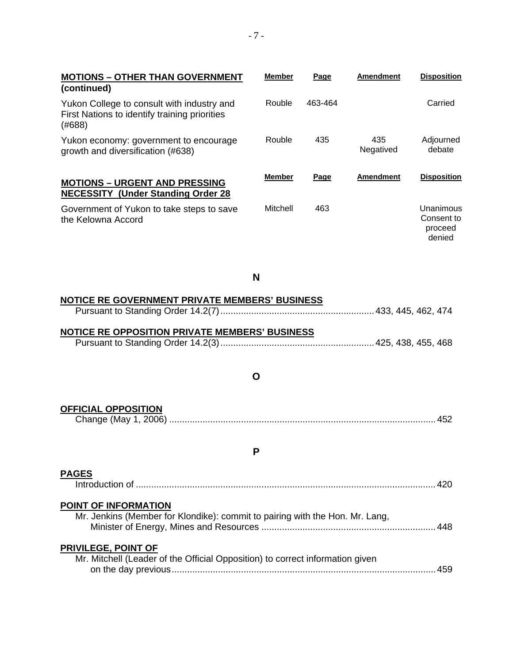| <b>MOTIONS - OTHER THAN GOVERNMENT</b><br>(continued)                                                 | <b>Member</b> | Page        | <b>Amendment</b> | <b>Disposition</b>                           |
|-------------------------------------------------------------------------------------------------------|---------------|-------------|------------------|----------------------------------------------|
| Yukon College to consult with industry and<br>First Nations to identify training priorities<br>(#688) | Rouble        | 463-464     |                  | Carried                                      |
| Yukon economy: government to encourage<br>growth and diversification (#638)                           | Rouble        | 435         | 435<br>Negatived | Adjourned<br>debate                          |
| <b>MOTIONS - URGENT AND PRESSING</b><br><b>NECESSITY (Under Standing Order 28)</b>                    | <b>Member</b> | <b>Page</b> | <b>Amendment</b> | <b>Disposition</b>                           |
| Government of Yukon to take steps to save<br>the Kelowna Accord                                       | Mitchell      | 463         |                  | Unanimous<br>Consent to<br>proceed<br>denied |

**N** 

| <b>NOTICE RE GOVERNMENT PRIVATE MEMBERS' BUSINESS</b>                                                       |  |
|-------------------------------------------------------------------------------------------------------------|--|
|                                                                                                             |  |
|                                                                                                             |  |
| <b>NOTICE RE OPPOSITION PRIVATE MEMBERS' BUSINESS</b>                                                       |  |
|                                                                                                             |  |
|                                                                                                             |  |
|                                                                                                             |  |
| O                                                                                                           |  |
|                                                                                                             |  |
| <b>OFFICIAL OPPOSITION</b>                                                                                  |  |
|                                                                                                             |  |
|                                                                                                             |  |
|                                                                                                             |  |
| P                                                                                                           |  |
|                                                                                                             |  |
| <b>PAGES</b>                                                                                                |  |
|                                                                                                             |  |
|                                                                                                             |  |
| <b>POINT OF INFORMATION</b><br>Mr. Jenkins (Member for Klondike): commit to pairing with the Hon. Mr. Lang, |  |
|                                                                                                             |  |
|                                                                                                             |  |
| <b>PRIVILEGE, POINT OF</b>                                                                                  |  |
| Mr. Mitchell (Leader of the Official Opposition) to correct information given                               |  |
|                                                                                                             |  |
|                                                                                                             |  |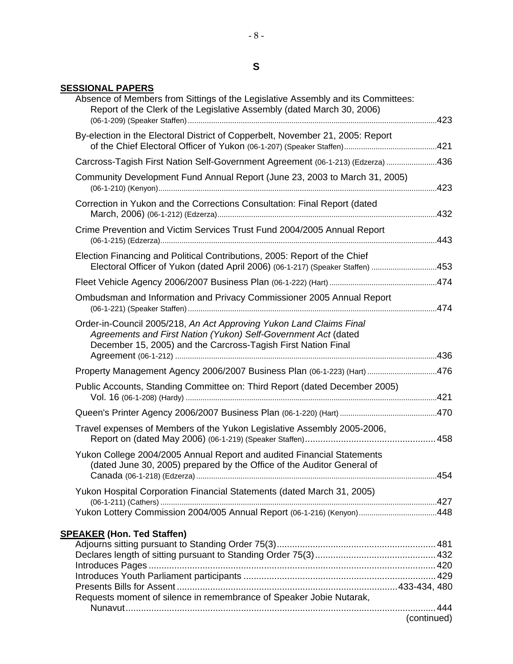### **SESSIONAL PAPERS**

| Absence of Members from Sittings of the Legislative Assembly and its Committees:<br>Report of the Clerk of the Legislative Assembly (dated March 30, 2006)                                             |  |
|--------------------------------------------------------------------------------------------------------------------------------------------------------------------------------------------------------|--|
| By-election in the Electoral District of Copperbelt, November 21, 2005: Report                                                                                                                         |  |
| Carcross-Tagish First Nation Self-Government Agreement (06-1-213) (Edzerza) 436                                                                                                                        |  |
| Community Development Fund Annual Report (June 23, 2003 to March 31, 2005)                                                                                                                             |  |
| Correction in Yukon and the Corrections Consultation: Final Report (dated                                                                                                                              |  |
| Crime Prevention and Victim Services Trust Fund 2004/2005 Annual Report                                                                                                                                |  |
| Election Financing and Political Contributions, 2005: Report of the Chief<br>Electoral Officer of Yukon (dated April 2006) (06-1-217) (Speaker Staffen) 453                                            |  |
|                                                                                                                                                                                                        |  |
| Ombudsman and Information and Privacy Commissioner 2005 Annual Report                                                                                                                                  |  |
| Order-in-Council 2005/218, An Act Approving Yukon Land Claims Final<br>Agreements and First Nation (Yukon) Self-Government Act (dated<br>December 15, 2005) and the Carcross-Tagish First Nation Final |  |
| Property Management Agency 2006/2007 Business Plan (06-1-223) (Hart) 476                                                                                                                               |  |
| Public Accounts, Standing Committee on: Third Report (dated December 2005)                                                                                                                             |  |
|                                                                                                                                                                                                        |  |
| Travel expenses of Members of the Yukon Legislative Assembly 2005-2006,                                                                                                                                |  |
| Yukon College 2004/2005 Annual Report and audited Financial Statements<br>(dated June 30, 2005) prepared by the Office of the Auditor General of                                                       |  |
| Yukon Hospital Corporation Financial Statements (dated March 31, 2005)                                                                                                                                 |  |
|                                                                                                                                                                                                        |  |
| <b>SPEAKER (Hon. Ted Staffen)</b>                                                                                                                                                                      |  |
|                                                                                                                                                                                                        |  |
|                                                                                                                                                                                                        |  |
|                                                                                                                                                                                                        |  |
|                                                                                                                                                                                                        |  |
| Requests moment of silence in remembrance of Speaker Jobie Nutarak,                                                                                                                                    |  |

(continued)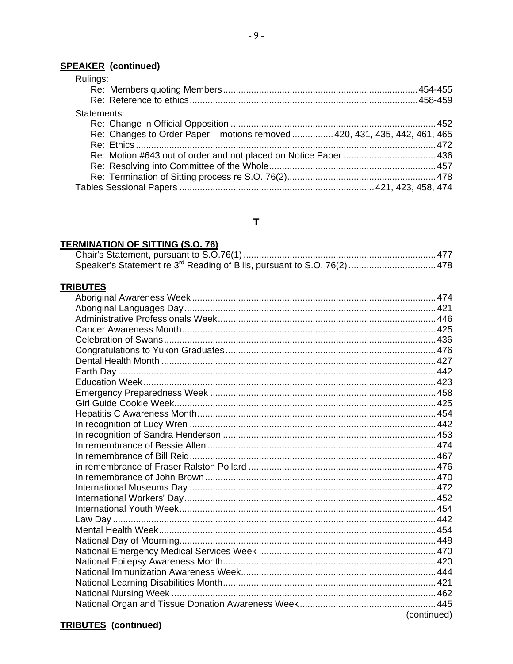### **SPEAKER** (continued)

| Rulings:                                                                   |  |
|----------------------------------------------------------------------------|--|
|                                                                            |  |
|                                                                            |  |
| Statements:                                                                |  |
|                                                                            |  |
| Re: Changes to Order Paper - motions removed  420, 431, 435, 442, 461, 465 |  |
|                                                                            |  |
|                                                                            |  |
|                                                                            |  |
|                                                                            |  |
|                                                                            |  |

### $\mathbf{T}$

### **TERMINATION OF SITTING (S.O. 76)**

### **TRIBUTES**

| (continued) |
|-------------|

### **TRIBUTES** (continued)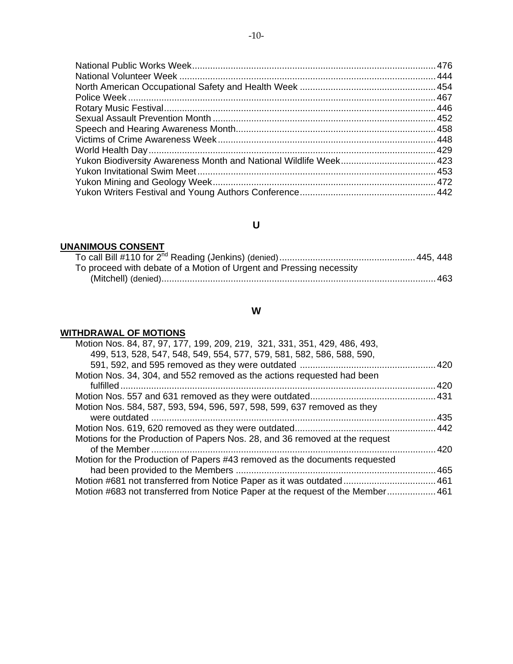# **U**

## **UNANIMOUS CONSENT**

| To proceed with debate of a Motion of Urgent and Pressing necessity |  |
|---------------------------------------------------------------------|--|
|                                                                     |  |

## **W**

### **WITHDRAWAL OF MOTIONS**

| Motion Nos. 84, 87, 97, 177, 199, 209, 219, 321, 331, 351, 429, 486, 493,<br>499, 513, 528, 547, 548, 549, 554, 577, 579, 581, 582, 586, 588, 590, |       |
|----------------------------------------------------------------------------------------------------------------------------------------------------|-------|
|                                                                                                                                                    |       |
| Motion Nos. 34, 304, and 552 removed as the actions requested had been                                                                             |       |
|                                                                                                                                                    | .420  |
|                                                                                                                                                    |       |
| Motion Nos. 584, 587, 593, 594, 596, 597, 598, 599, 637 removed as they                                                                            |       |
|                                                                                                                                                    | . 435 |
|                                                                                                                                                    |       |
| Motions for the Production of Papers Nos. 28, and 36 removed at the request                                                                        |       |
|                                                                                                                                                    | .420  |
| Motion for the Production of Papers #43 removed as the documents requested                                                                         |       |
|                                                                                                                                                    | 465   |
|                                                                                                                                                    |       |
| Motion #683 not transferred from Notice Paper at the request of the Member 461                                                                     |       |
|                                                                                                                                                    |       |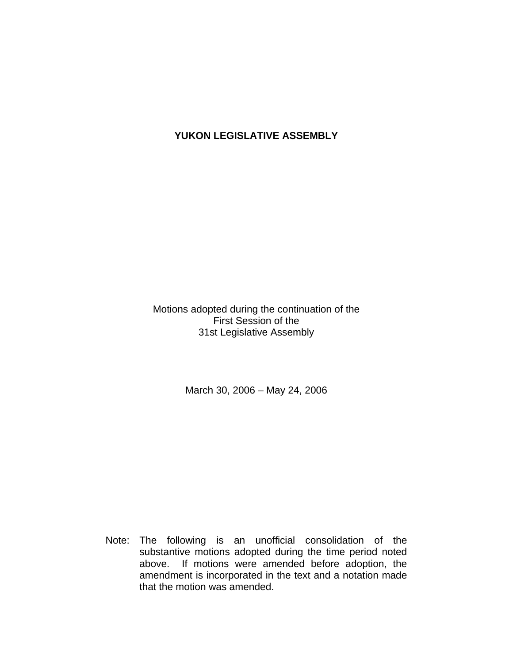# **YUKON LEGISLATIVE ASSEMBLY**

Motions adopted during the continuation of the First Session of the 31st Legislative Assembly

March 30, 2006 – May 24, 2006

 Note: The following is an unofficial consolidation of the substantive motions adopted during the time period noted above. If motions were amended before adoption, the amendment is incorporated in the text and a notation made that the motion was amended.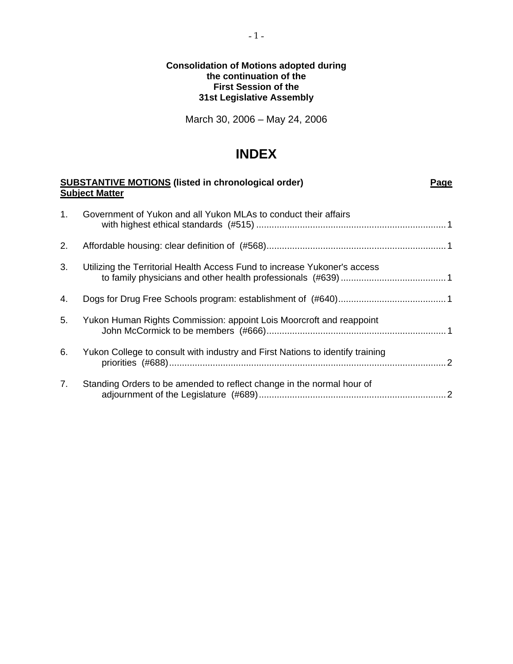### **Consolidation of Motions adopted during the continuation of the First Session of the 31st Legislative Assembly**

March 30, 2006 – May 24, 2006

# **INDEX**

| <b>SUBSTANTIVE MOTIONS (listed in chronological order)</b><br><b>Subject Matter</b> |                                                                               | Page |
|-------------------------------------------------------------------------------------|-------------------------------------------------------------------------------|------|
| 1.                                                                                  | Government of Yukon and all Yukon MLAs to conduct their affairs               |      |
| 2.                                                                                  |                                                                               |      |
| 3.                                                                                  | Utilizing the Territorial Health Access Fund to increase Yukoner's access     |      |
| 4.                                                                                  |                                                                               |      |
| 5.                                                                                  | Yukon Human Rights Commission: appoint Lois Moorcroft and reappoint           |      |
| 6.                                                                                  | Yukon College to consult with industry and First Nations to identify training |      |
| 7.                                                                                  | Standing Orders to be amended to reflect change in the normal hour of         |      |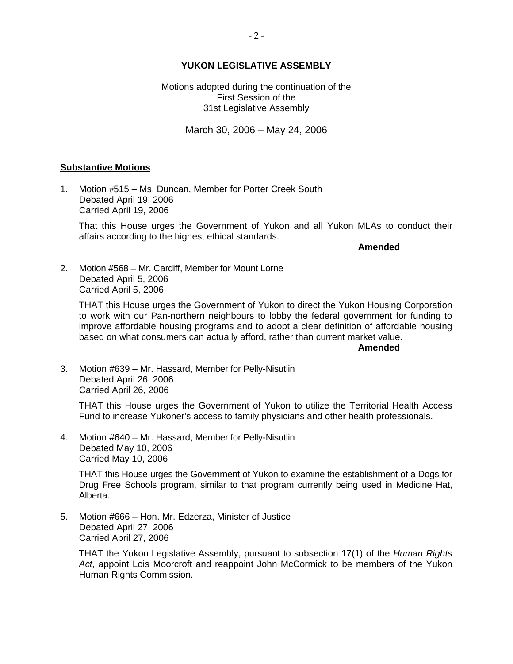### **YUKON LEGISLATIVE ASSEMBLY**

Motions adopted during the continuation of the First Session of the 31st Legislative Assembly

March 30, 2006 – May 24, 2006

#### **Substantive Motions**

1. Motion #515 – Ms. Duncan, Member for Porter Creek South Debated April 19, 2006 Carried April 19, 2006

 That this House urges the Government of Yukon and all Yukon MLAs to conduct their affairs according to the highest ethical standards.

**Amended** 

2. Motion #568 – Mr. Cardiff, Member for Mount Lorne Debated April 5, 2006 Carried April 5, 2006

 THAT this House urges the Government of Yukon to direct the Yukon Housing Corporation to work with our Pan-northern neighbours to lobby the federal government for funding to improve affordable housing programs and to adopt a clear definition of affordable housing based on what consumers can actually afford, rather than current market value.

**Amended** 

3. Motion #639 – Mr. Hassard, Member for Pelly-Nisutlin Debated April 26, 2006 Carried April 26, 2006

 THAT this House urges the Government of Yukon to utilize the Territorial Health Access Fund to increase Yukoner's access to family physicians and other health professionals.

4. Motion #640 – Mr. Hassard, Member for Pelly-Nisutlin Debated May 10, 2006 Carried May 10, 2006

 THAT this House urges the Government of Yukon to examine the establishment of a Dogs for Drug Free Schools program, similar to that program currently being used in Medicine Hat, Alberta.

5. Motion #666 – Hon. Mr. Edzerza, Minister of Justice Debated April 27, 2006 Carried April 27, 2006

 THAT the Yukon Legislative Assembly, pursuant to subsection 17(1) of the *Human Rights Act*, appoint Lois Moorcroft and reappoint John McCormick to be members of the Yukon Human Rights Commission.